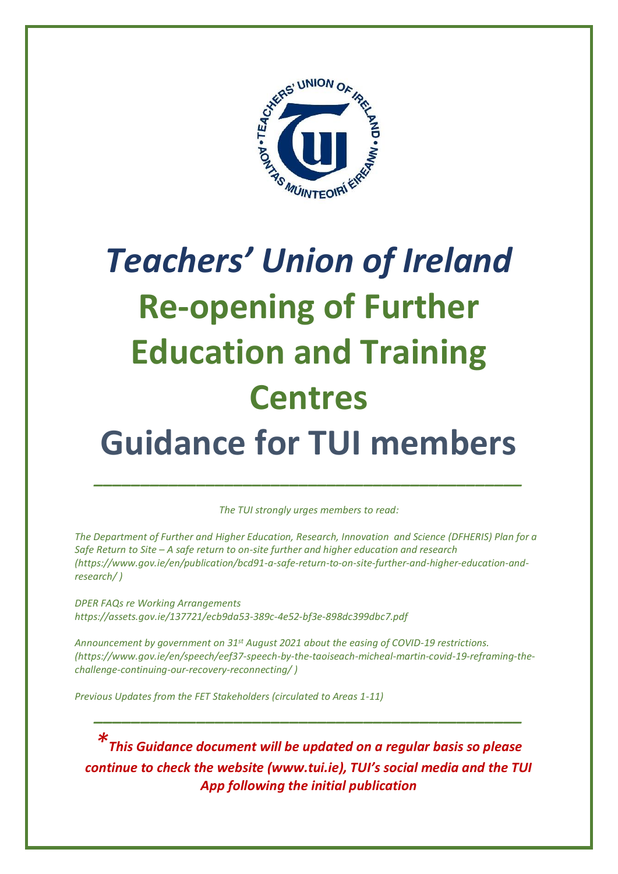

# *Teachers' Union of Ireland* **Re-opening of Further Education and Training Centres Guidance for TUI members**

*The TUI strongly urges members to read:*

*\_\_\_\_\_\_\_\_\_\_\_\_\_\_\_\_\_\_\_\_\_\_\_\_\_\_\_\_\_\_\_\_\_\_\_\_\_\_\_\_\_\_\_\_\_\_*

*The Department of Further and Higher Education, Research, Innovation and Science (DFHERIS) Plan for a Safe Return to Site – A safe return to on-site further and higher education and research [\(https://www.gov.ie/en/publication/bcd91-a-safe-return-to-on-site-further-and-higher-education-and](https://www.gov.ie/en/publication/bcd91-a-safe-return-to-on-site-further-and-higher-education-and-research/)[research/](https://www.gov.ie/en/publication/bcd91-a-safe-return-to-on-site-further-and-higher-education-and-research/) )*

*DPER FAQs re Working Arrangements <https://assets.gov.ie/137721/ecb9da53-389c-4e52-bf3e-898dc399dbc7.pdf>*

*Announcement by government on 31st August 2021 about the easing of COVID-19 restrictions. [\(https://www.gov.ie/en/speech/eef37-speech-by-the-taoiseach-micheal-martin-covid-19-reframing-the](https://www.gov.ie/en/speech/eef37-speech-by-the-taoiseach-micheal-martin-covid-19-reframing-the-challenge-continuing-our-recovery-reconnecting/)[challenge-continuing-our-recovery-reconnecting/](https://www.gov.ie/en/speech/eef37-speech-by-the-taoiseach-micheal-martin-covid-19-reframing-the-challenge-continuing-our-recovery-reconnecting/) )*

*Previous Updates from the FET Stakeholders (circulated to Areas 1-11)*

*\*This Guidance document will be updated on a regular basis so please continue to check the website (www.tui.ie), TUI's social media and the TUI App following the initial publication*

*\_\_\_\_\_\_\_\_\_\_\_\_\_\_\_\_\_\_\_\_\_\_\_\_\_\_\_\_\_\_\_\_\_\_\_\_\_\_\_\_\_\_\_\_\_\_*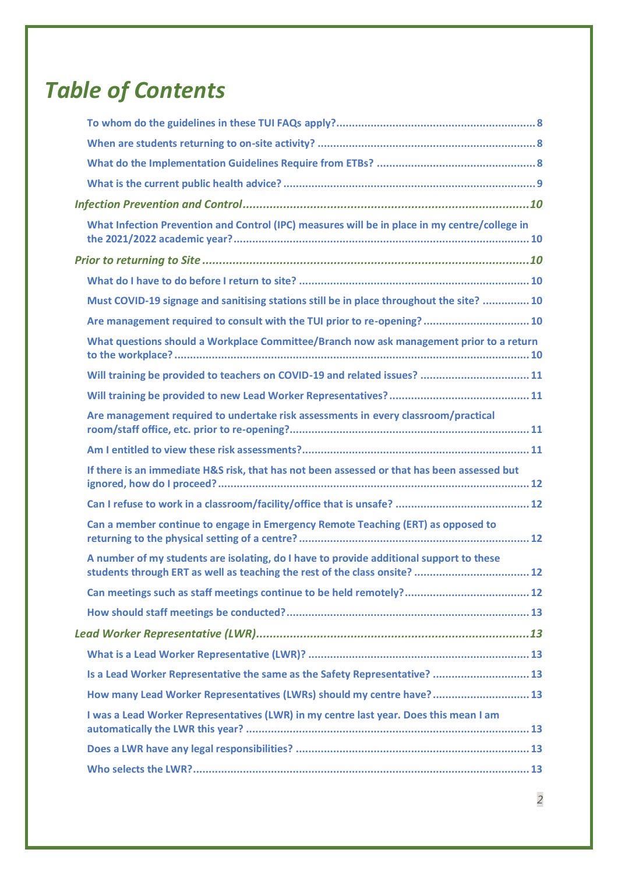## *Table of Contents*

| What Infection Prevention and Control (IPC) measures will be in place in my centre/college in                                                                         |
|-----------------------------------------------------------------------------------------------------------------------------------------------------------------------|
|                                                                                                                                                                       |
|                                                                                                                                                                       |
| Must COVID-19 signage and sanitising stations still be in place throughout the site?  10                                                                              |
| Are management required to consult with the TUI prior to re-opening? 10                                                                                               |
| What questions should a Workplace Committee/Branch now ask management prior to a return                                                                               |
| Will training be provided to teachers on COVID-19 and related issues?  11                                                                                             |
|                                                                                                                                                                       |
| Are management required to undertake risk assessments in every classroom/practical                                                                                    |
|                                                                                                                                                                       |
| If there is an immediate H&S risk, that has not been assessed or that has been assessed but                                                                           |
|                                                                                                                                                                       |
| Can a member continue to engage in Emergency Remote Teaching (ERT) as opposed to                                                                                      |
| A number of my students are isolating, do I have to provide additional support to these<br>students through ERT as well as teaching the rest of the class onsite?  12 |
|                                                                                                                                                                       |
|                                                                                                                                                                       |
|                                                                                                                                                                       |
|                                                                                                                                                                       |
| Is a Lead Worker Representative the same as the Safety Representative?  13                                                                                            |
| How many Lead Worker Representatives (LWRs) should my centre have? 13                                                                                                 |
| I was a Lead Worker Representatives (LWR) in my centre last year. Does this mean I am                                                                                 |
|                                                                                                                                                                       |
|                                                                                                                                                                       |
|                                                                                                                                                                       |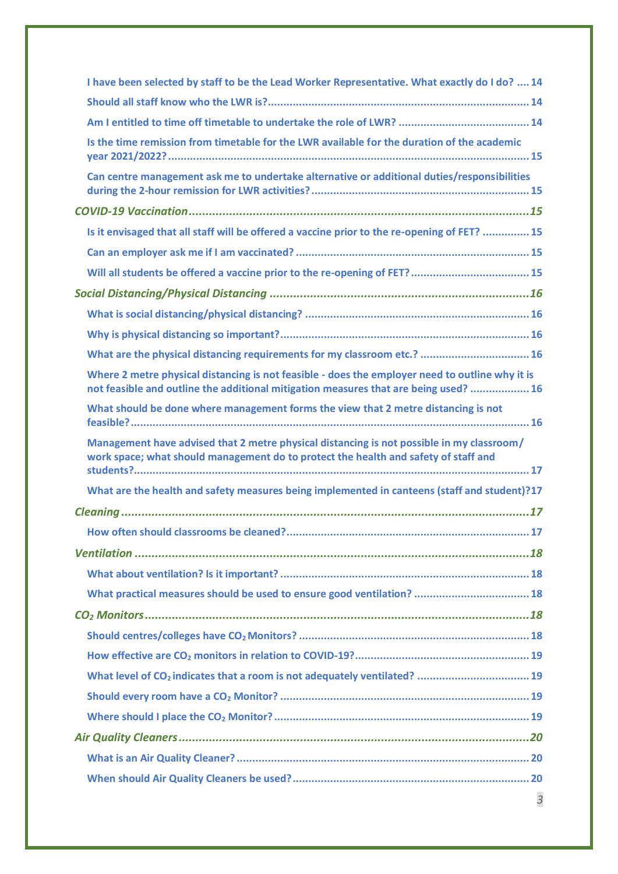| I have been selected by staff to be the Lead Worker Representative. What exactly do I do?  14                                                                                           |  |  |
|-----------------------------------------------------------------------------------------------------------------------------------------------------------------------------------------|--|--|
|                                                                                                                                                                                         |  |  |
|                                                                                                                                                                                         |  |  |
| Is the time remission from timetable for the LWR available for the duration of the academic                                                                                             |  |  |
| Can centre management ask me to undertake alternative or additional duties/responsibilities                                                                                             |  |  |
|                                                                                                                                                                                         |  |  |
| Is it envisaged that all staff will be offered a vaccine prior to the re-opening of FET?  15                                                                                            |  |  |
|                                                                                                                                                                                         |  |  |
| Will all students be offered a vaccine prior to the re-opening of FET?  15                                                                                                              |  |  |
|                                                                                                                                                                                         |  |  |
|                                                                                                                                                                                         |  |  |
|                                                                                                                                                                                         |  |  |
| What are the physical distancing requirements for my classroom etc.?  16                                                                                                                |  |  |
| Where 2 metre physical distancing is not feasible - does the employer need to outline why it is<br>not feasible and outline the additional mitigation measures that are being used?  16 |  |  |
| What should be done where management forms the view that 2 metre distancing is not                                                                                                      |  |  |
| Management have advised that 2 metre physical distancing is not possible in my classroom/<br>work space; what should management do to protect the health and safety of staff and        |  |  |
| What are the health and safety measures being implemented in canteens (staff and student)?17                                                                                            |  |  |
|                                                                                                                                                                                         |  |  |
|                                                                                                                                                                                         |  |  |
|                                                                                                                                                                                         |  |  |
|                                                                                                                                                                                         |  |  |
| What practical measures should be used to ensure good ventilation?  18                                                                                                                  |  |  |
|                                                                                                                                                                                         |  |  |
|                                                                                                                                                                                         |  |  |
|                                                                                                                                                                                         |  |  |
| What level of CO <sub>2</sub> indicates that a room is not adequately ventilated?  19                                                                                                   |  |  |
|                                                                                                                                                                                         |  |  |
|                                                                                                                                                                                         |  |  |
|                                                                                                                                                                                         |  |  |
|                                                                                                                                                                                         |  |  |
|                                                                                                                                                                                         |  |  |
| 3                                                                                                                                                                                       |  |  |
|                                                                                                                                                                                         |  |  |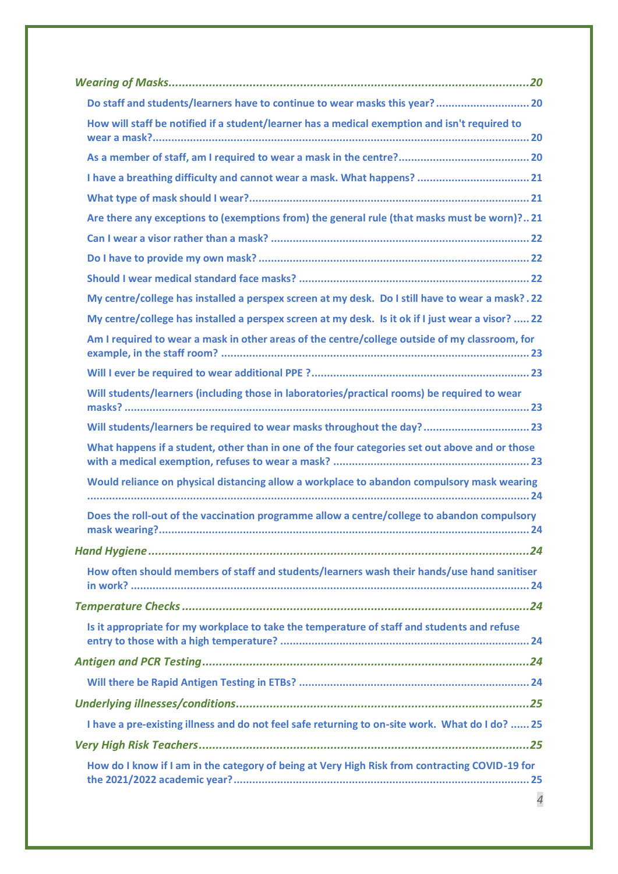| How will staff be notified if a student/learner has a medical exemption and isn't required to     |  |  |
|---------------------------------------------------------------------------------------------------|--|--|
|                                                                                                   |  |  |
|                                                                                                   |  |  |
|                                                                                                   |  |  |
| Are there any exceptions to (exemptions from) the general rule (that masks must be worn)?21       |  |  |
|                                                                                                   |  |  |
|                                                                                                   |  |  |
|                                                                                                   |  |  |
| My centre/college has installed a perspex screen at my desk. Do I still have to wear a mask?.22   |  |  |
| My centre/college has installed a perspex screen at my desk. Is it ok if I just wear a visor?  22 |  |  |
| Am I required to wear a mask in other areas of the centre/college outside of my classroom, for    |  |  |
|                                                                                                   |  |  |
| Will students/learners (including those in laboratories/practical rooms) be required to wear      |  |  |
| Will students/learners be required to wear masks throughout the day? 23                           |  |  |
| What happens if a student, other than in one of the four categories set out above and or those    |  |  |
| Would reliance on physical distancing allow a workplace to abandon compulsory mask wearing        |  |  |
| Does the roll-out of the vaccination programme allow a centre/college to abandon compulsory       |  |  |
|                                                                                                   |  |  |
| How often should members of staff and students/learners wash their hands/use hand sanitiser       |  |  |
|                                                                                                   |  |  |
| Is it appropriate for my workplace to take the temperature of staff and students and refuse       |  |  |
|                                                                                                   |  |  |
|                                                                                                   |  |  |
|                                                                                                   |  |  |
| I have a pre-existing illness and do not feel safe returning to on-site work. What do I do?  25   |  |  |
|                                                                                                   |  |  |
| How do I know if I am in the category of being at Very High Risk from contracting COVID-19 for    |  |  |
| $\overline{4}$                                                                                    |  |  |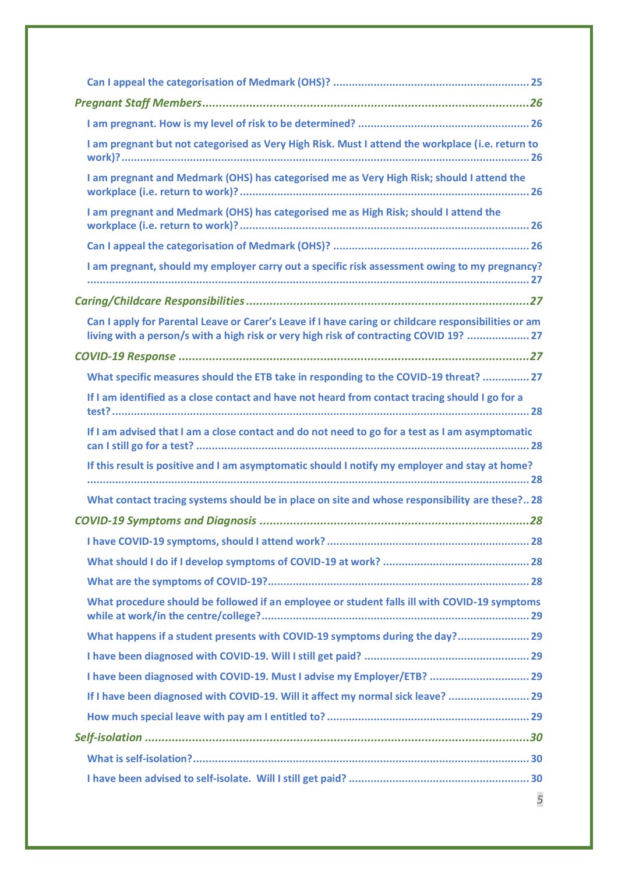| I am pregnant but not categorised as Very High Risk. Must I attend the workplace (i.e. return to                                                                                               |  |  |  |
|------------------------------------------------------------------------------------------------------------------------------------------------------------------------------------------------|--|--|--|
| I am pregnant and Medmark (OHS) has categorised me as Very High Risk; should I attend the                                                                                                      |  |  |  |
| I am pregnant and Medmark (OHS) has categorised me as High Risk; should I attend the                                                                                                           |  |  |  |
|                                                                                                                                                                                                |  |  |  |
| I am pregnant, should my employer carry out a specific risk assessment owing to my pregnancy?                                                                                                  |  |  |  |
|                                                                                                                                                                                                |  |  |  |
| Can I apply for Parental Leave or Carer's Leave if I have caring or childcare responsibilities or am<br>living with a person/s with a high risk or very high risk of contracting COVID 19?  27 |  |  |  |
|                                                                                                                                                                                                |  |  |  |
| What specific measures should the ETB take in responding to the COVID-19 threat?  27                                                                                                           |  |  |  |
| If I am identified as a close contact and have not heard from contact tracing should I go for a                                                                                                |  |  |  |
| If I am advised that I am a close contact and do not need to go for a test as I am asymptomatic                                                                                                |  |  |  |
| If this result is positive and I am asymptomatic should I notify my employer and stay at home?                                                                                                 |  |  |  |
| What contact tracing systems should be in place on site and whose responsibility are these?28                                                                                                  |  |  |  |
|                                                                                                                                                                                                |  |  |  |
|                                                                                                                                                                                                |  |  |  |
|                                                                                                                                                                                                |  |  |  |
|                                                                                                                                                                                                |  |  |  |
| What procedure should be followed if an employee or student falls ill with COVID-19 symptoms                                                                                                   |  |  |  |
| What happens if a student presents with COVID-19 symptoms during the day? 29                                                                                                                   |  |  |  |
|                                                                                                                                                                                                |  |  |  |
| I have been diagnosed with COVID-19. Must I advise my Employer/ETB?  29                                                                                                                        |  |  |  |
| If I have been diagnosed with COVID-19. Will it affect my normal sick leave?  29                                                                                                               |  |  |  |
|                                                                                                                                                                                                |  |  |  |
|                                                                                                                                                                                                |  |  |  |
|                                                                                                                                                                                                |  |  |  |
|                                                                                                                                                                                                |  |  |  |
| 5                                                                                                                                                                                              |  |  |  |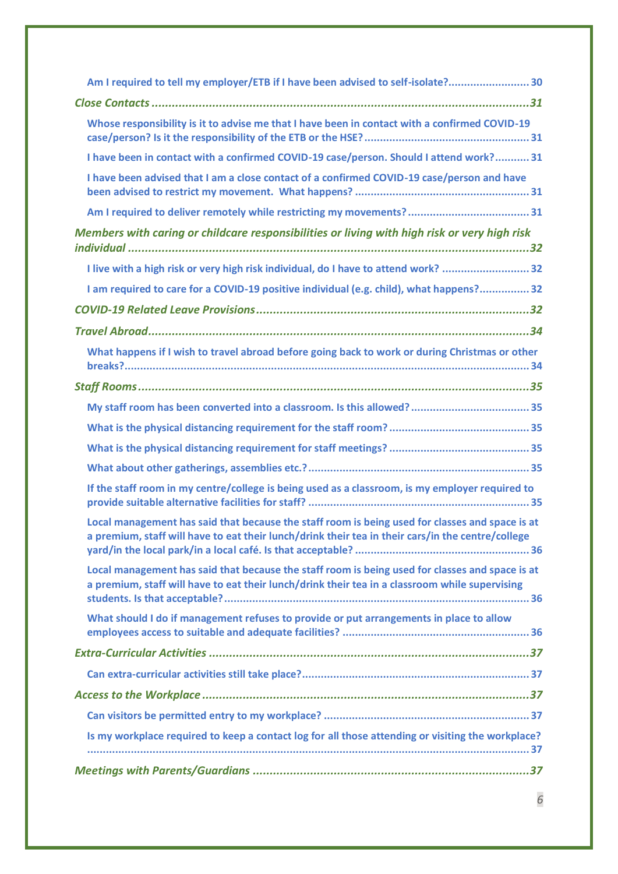| Am I required to tell my employer/ETB if I have been advised to self-isolate? 30                                                                                                                     |
|------------------------------------------------------------------------------------------------------------------------------------------------------------------------------------------------------|
|                                                                                                                                                                                                      |
| Whose responsibility is it to advise me that I have been in contact with a confirmed COVID-19                                                                                                        |
| I have been in contact with a confirmed COVID-19 case/person. Should I attend work? 31                                                                                                               |
| I have been advised that I am a close contact of a confirmed COVID-19 case/person and have                                                                                                           |
|                                                                                                                                                                                                      |
| Members with caring or childcare responsibilities or living with high risk or very high risk                                                                                                         |
| I live with a high risk or very high risk individual, do I have to attend work? 32                                                                                                                   |
| I am required to care for a COVID-19 positive individual (e.g. child), what happens? 32                                                                                                              |
|                                                                                                                                                                                                      |
|                                                                                                                                                                                                      |
| What happens if I wish to travel abroad before going back to work or during Christmas or other                                                                                                       |
|                                                                                                                                                                                                      |
|                                                                                                                                                                                                      |
|                                                                                                                                                                                                      |
|                                                                                                                                                                                                      |
|                                                                                                                                                                                                      |
| If the staff room in my centre/college is being used as a classroom, is my employer required to                                                                                                      |
| Local management has said that because the staff room is being used for classes and space is at<br>a premium, staff will have to eat their lunch/drink their tea in their cars/in the centre/college |
| Local management has said that because the staff room is being used for classes and space is at<br>a premium, staff will have to eat their lunch/drink their tea in a classroom while supervising    |
| What should I do if management refuses to provide or put arrangements in place to allow                                                                                                              |
|                                                                                                                                                                                                      |
|                                                                                                                                                                                                      |
|                                                                                                                                                                                                      |
|                                                                                                                                                                                                      |
| Is my workplace required to keep a contact log for all those attending or visiting the workplace?                                                                                                    |
|                                                                                                                                                                                                      |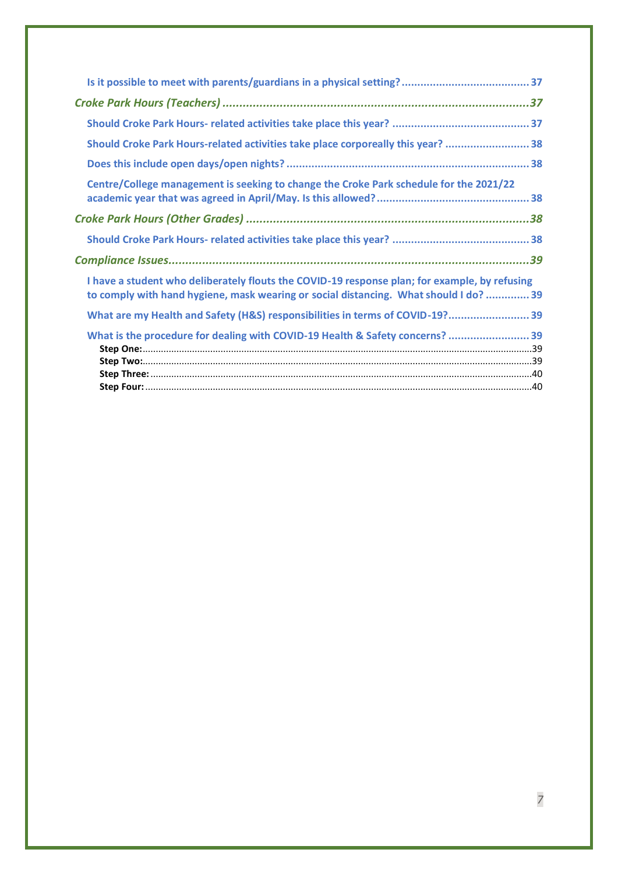| Should Croke Park Hours-related activities take place corporeally this year?  38                                                                                                       |
|----------------------------------------------------------------------------------------------------------------------------------------------------------------------------------------|
|                                                                                                                                                                                        |
| Centre/College management is seeking to change the Croke Park schedule for the 2021/22                                                                                                 |
|                                                                                                                                                                                        |
|                                                                                                                                                                                        |
|                                                                                                                                                                                        |
| I have a student who deliberately flouts the COVID-19 response plan; for example, by refusing<br>to comply with hand hygiene, mask wearing or social distancing. What should I do?  39 |
| What are my Health and Safety (H&S) responsibilities in terms of COVID-19? 39                                                                                                          |
| What is the procedure for dealing with COVID-19 Health & Safety concerns?  39                                                                                                          |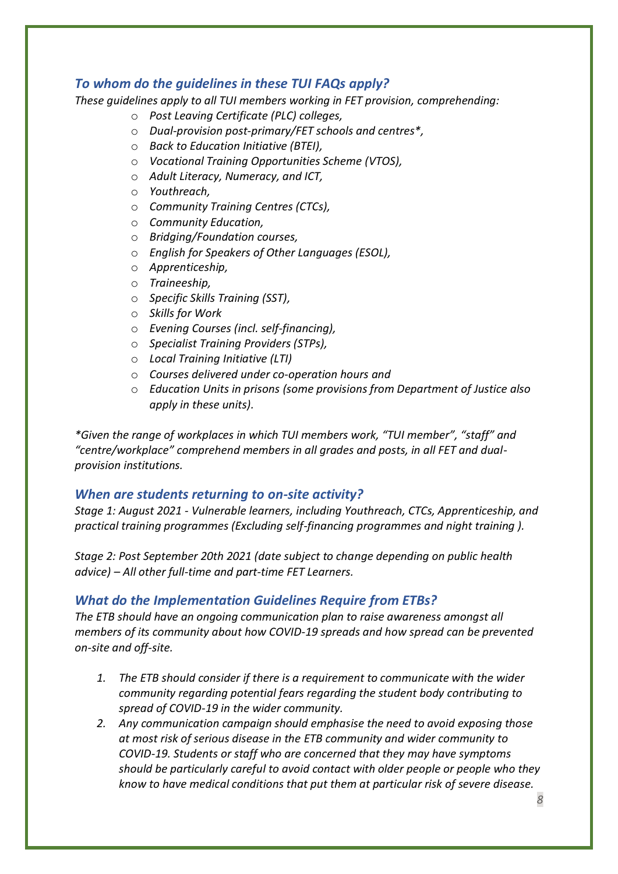## <span id="page-7-0"></span>*To whom do the guidelines in these TUI FAQs apply?*

*These guidelines apply to all TUI members working in FET provision, comprehending:* 

- o *Post Leaving Certificate (PLC) colleges,*
- o *Dual-provision post-primary/FET schools and centres\*,*
- o *Back to Education Initiative (BTEI),*
- o *Vocational Training Opportunities Scheme (VTOS),*
- o *Adult Literacy, Numeracy, and ICT,*
- o *Youthreach,*
- o *Community Training Centres (CTCs),*
- o *Community Education,*
- o *Bridging/Foundation courses,*
- o *English for Speakers of Other Languages (ESOL),*
- o *Apprenticeship,*
- o *Traineeship,*
- o *Specific Skills Training (SST),*
- o *Skills for Work*
- o *Evening Courses (incl. self-financing),*
- o *Specialist Training Providers (STPs),*
- o *Local Training Initiative (LTI)*
- o *Courses delivered under co-operation hours and*
- o *Education Units in prisons (some provisions from Department of Justice also apply in these units).*

*\*Given the range of workplaces in which TUI members work, "TUI member", "staff" and "centre/workplace" comprehend members in all grades and posts, in all FET and dualprovision institutions.* 

#### <span id="page-7-1"></span>*When are students returning to on-site activity?*

*Stage 1: August 2021 - Vulnerable learners, including Youthreach, CTCs, Apprenticeship, and practical training programmes (Excluding self-financing programmes and night training ).*

*Stage 2: Post September 20th 2021 (date subject to change depending on public health advice) – All other full-time and part-time FET Learners.*

#### <span id="page-7-2"></span>*What do the Implementation Guidelines Require from ETBs?*

*The ETB should have an ongoing communication plan to raise awareness amongst all members of its community about how COVID-19 spreads and how spread can be prevented on-site and off-site.* 

- *1. The ETB should consider if there is a requirement to communicate with the wider community regarding potential fears regarding the student body contributing to spread of COVID-19 in the wider community.*
- *2. Any communication campaign should emphasise the need to avoid exposing those at most risk of serious disease in the ETB community and wider community to COVID-19. Students or staff who are concerned that they may have symptoms should be particularly careful to avoid contact with older people or people who they know to have medical conditions that put them at particular risk of severe disease.*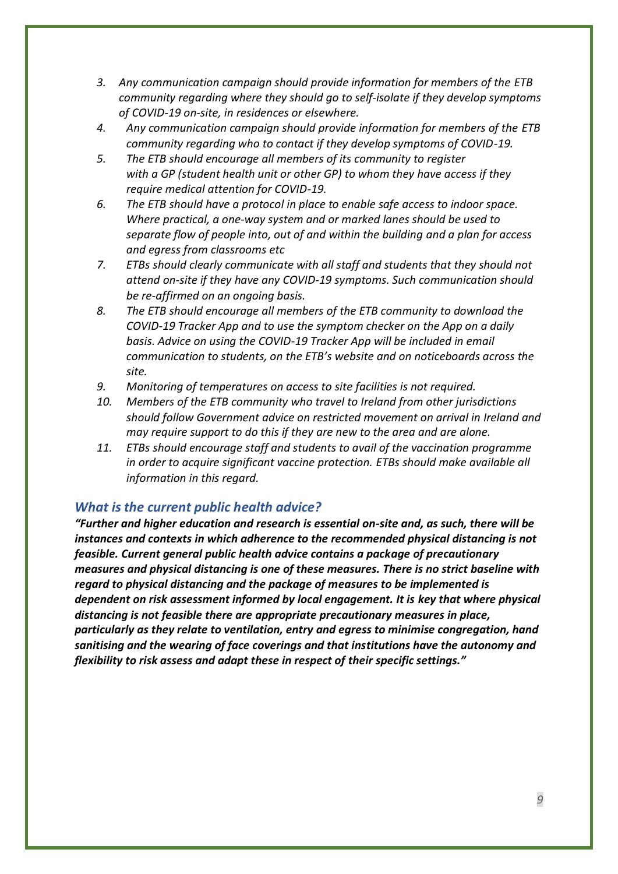- *3. Any communication campaign should provide information for members of the ETB community regarding where they should go to self-isolate if they develop symptoms of COVID-19 on-site, in residences or elsewhere.*
- *4. Any communication campaign should provide information for members of the ETB community regarding who to contact if they develop symptoms of COVID-19.*
- *5. The ETB should encourage all members of its community to register with a GP (student health unit or other GP) to whom they have access if they require medical attention for COVID-19.*
- *6. The ETB should have a protocol in place to enable safe access to indoor space. Where practical, a one-way system and or marked lanes should be used to separate flow of people into, out of and within the building and a plan for access and egress from classrooms etc*
- *7. ETBs should clearly communicate with all staff and students that they should not attend on-site if they have any COVID-19 symptoms. Such communication should be re-affirmed on an ongoing basis.*
- *8. The ETB should encourage all members of the ETB community to download the COVID-19 Tracker App and to use the symptom checker on the App on a daily basis. Advice on using the COVID-19 Tracker App will be included in email communication to students, on the ETB's website and on noticeboards across the site.*
- *9. Monitoring of temperatures on access to site facilities is not required.*
- *10. Members of the ETB community who travel to Ireland from other jurisdictions should follow Government advice on restricted movement on arrival in Ireland and may require support to do this if they are new to the area and are alone.*
- *11. ETBs should encourage staff and students to avail of the vaccination programme in order to acquire significant vaccine protection. ETBs should make available all information in this regard.*

## <span id="page-8-0"></span>*What is the current public health advice?*

*"Further and higher education and research is essential on-site and, as such, there will be instances and contexts in which adherence to the recommended physical distancing is not feasible. Current general public health advice contains a package of precautionary measures and physical distancing is one of these measures. There is no strict baseline with regard to physical distancing and the package of measures to be implemented is dependent on risk assessment informed by local engagement. It is key that where physical distancing is not feasible there are appropriate precautionary measures in place, particularly as they relate to ventilation, entry and egress to minimise congregation, hand sanitising and the wearing of face coverings and that institutions have the autonomy and flexibility to risk assess and adapt these in respect of their specific settings."*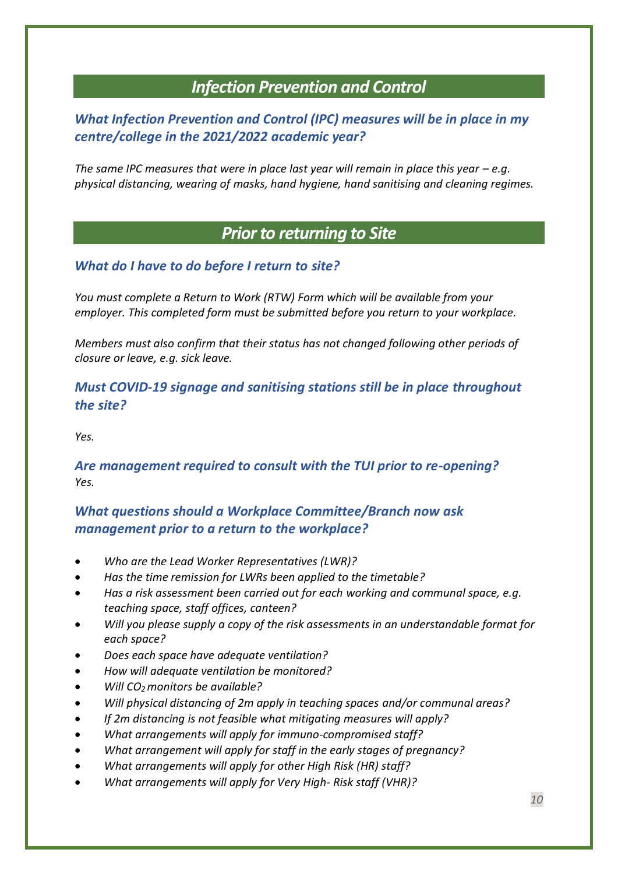## *Infection Prevention and Control*

## <span id="page-9-1"></span><span id="page-9-0"></span>*What Infection Prevention and Control (IPC) measures will be in place in my centre/college in the 2021/2022 academic year?*

*The same IPC measures that were in place last year will remain in place this year – e.g. physical distancing, wearing of masks, hand hygiene, hand sanitising and cleaning regimes.* 

## *Prior to returning to Site*

## <span id="page-9-3"></span><span id="page-9-2"></span>*What do I have to do before I return to site?*

*You must complete a Return to Work (RTW) Form which will be available from your employer. This completed form must be submitted before you return to your workplace.*

*Members must also confirm that their status has not changed following other periods of closure or leave, e.g. sick leave.*

## <span id="page-9-4"></span>*Must COVID-19 signage and sanitising stations still be in place throughout the site?*

<span id="page-9-5"></span>*Yes.*

## *Are management required to consult with the TUI prior to re-opening? Yes.*

## <span id="page-9-6"></span>*What questions should a Workplace Committee/Branch now ask management prior to a return to the workplace?*

- *Who are the Lead Worker Representatives (LWR)?*
- *Has the time remission for LWRs been applied to the timetable?*
- *Has a risk assessment been carried out for each working and communal space, e.g. teaching space, staff offices, canteen?*
- *Will you please supply a copy of the risk assessments in an understandable format for each space?*
- *Does each space have adequate ventilation?*
- *How will adequate ventilation be monitored?*
- *Will CO2 monitors be available?*
- *Will physical distancing of 2m apply in teaching spaces and/or communal areas?*
- *If 2m distancing is not feasible what mitigating measures will apply?*
- *What arrangements will apply for immuno-compromised staff?*
- *What arrangement will apply for staff in the early stages of pregnancy?*
- *What arrangements will apply for other High Risk (HR) staff?*
- *What arrangements will apply for Very High- Risk staff (VHR)?*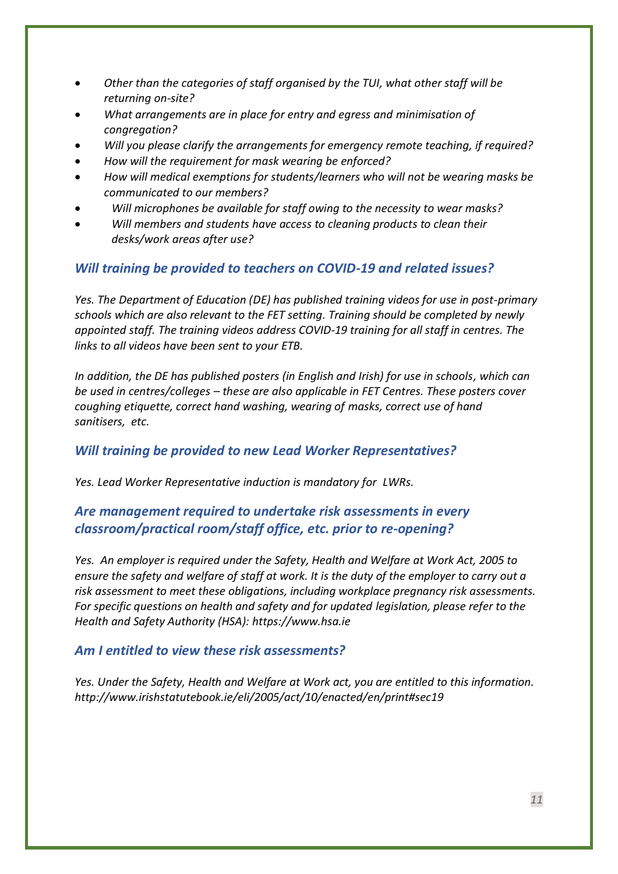- *Other than the categories of staff organised by the TUI, what other staff will be returning on-site?*
- *What arrangements are in place for entry and egress and minimisation of congregation?*
- *Will you please clarify the arrangements for emergency remote teaching, if required?*
- *How will the requirement for mask wearing be enforced?*
- *How will medical exemptions for students/learners who will not be wearing masks be communicated to our members?*
- *Will microphones be available for staff owing to the necessity to wear masks?*
- *Will members and students have access to cleaning products to clean their desks/work areas after use?*

## <span id="page-10-0"></span>*Will training be provided to teachers on COVID-19 and related issues?*

*Yes. The Department of Education (DE) has published training videos for use in post-primary schools which are also relevant to the FET setting. Training should be completed by newly appointed staff. The training videos address COVID-19 training for all staff in centres. The links to all videos have been sent to your ETB.*

*In addition, the DE has published posters (in English and Irish) for use in schools, which can be used in centres/colleges – these are also applicable in FET Centres. These posters cover coughing etiquette, correct hand washing, wearing of masks, correct use of hand sanitisers, etc.*

#### <span id="page-10-1"></span>*Will training be provided to new Lead Worker Representatives?*

<span id="page-10-2"></span>*Yes. Lead Worker Representative induction is mandatory for LWRs.*

## *Are management required to undertake risk assessments in every classroom/practical room/staff office, etc. prior to re-opening?*

*Yes. An employer is required under the Safety, Health and Welfare at Work Act, 2005 to ensure the safety and welfare of staff at work. It is the duty of the employer to carry out a risk assessment to meet these obligations, including workplace pregnancy risk assessments. For specific questions on health and safety and for updated legislation, please refer to the Health and Safety Authority (HSA): [https://www.hsa.ie](https://www.hsa.ie/)*

#### <span id="page-10-3"></span>*Am I entitled to view these risk assessments?*

*Yes. Under the Safety, Health and Welfare at Work act, you are entitled to this information. <http://www.irishstatutebook.ie/eli/2005/act/10/enacted/en/print#sec19>*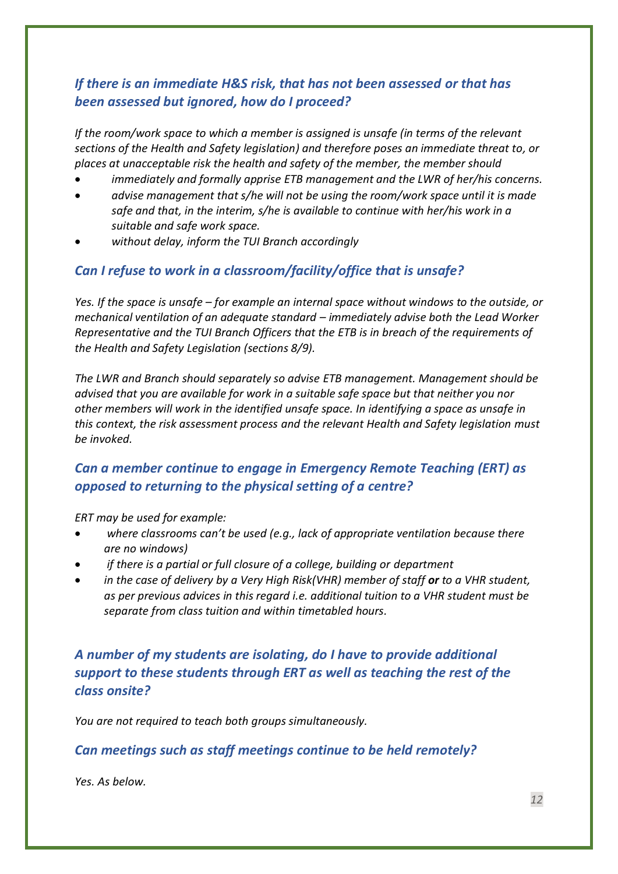## <span id="page-11-0"></span>*If there is an immediate H&S risk, that has not been assessed or that has been assessed but ignored, how do I proceed?*

*If the room/work space to which a member is assigned is unsafe (in terms of the relevant sections of the Health and Safety legislation) and therefore poses an immediate threat to, or places at unacceptable risk the health and safety of the member, the member should* 

- *immediately and formally apprise ETB management and the LWR of her/his concerns.*
- *advise management that s/he will not be using the room/work space until it is made safe and that, in the interim, s/he is available to continue with her/his work in a suitable and safe work space.*
- *without delay, inform the TUI Branch accordingly*

## <span id="page-11-1"></span>*Can I refuse to work in a classroom/facility/office that is unsafe?*

*Yes. If the space is unsafe – for example an internal space without windows to the outside, or mechanical ventilation of an adequate standard – immediately advise both the Lead Worker Representative and the TUI Branch Officers that the ETB is in breach of the requirements of the Health and Safety Legislation (sections 8/9).* 

*The LWR and Branch should separately so advise ETB management. Management should be advised that you are available for work in a suitable safe space but that neither you nor other members will work in the identified unsafe space. In identifying a space as unsafe in this context, the risk assessment process and the relevant Health and Safety legislation must be invoked.*

## <span id="page-11-2"></span>*Can a member continue to engage in Emergency Remote Teaching (ERT) as opposed to returning to the physical setting of a centre?*

*ERT may be used for example:*

- *where classrooms can't be used (e.g., lack of appropriate ventilation because there are no windows)*
- *if there is a partial or full closure of a college, building or department*
- *in the case of delivery by a Very High Risk(VHR) member of staff or to a VHR student, as per previous advices in this regard i.e. additional tuition to a VHR student must be separate from class tuition and within timetabled hours.*

<span id="page-11-3"></span>*A number of my students are isolating, do I have to provide additional support to these students through ERT as well as teaching the rest of the class onsite?*

<span id="page-11-4"></span>*You are not required to teach both groups simultaneously.*

## *Can meetings such as staff meetings continue to be held remotely?*

*Yes. As below.*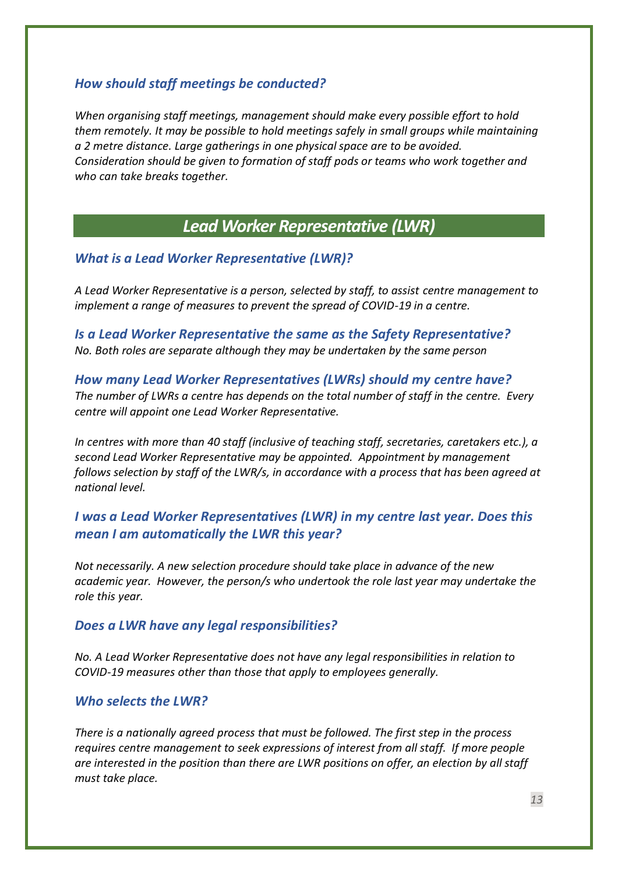## <span id="page-12-0"></span>*How should staff meetings be conducted?*

*When organising staff meetings, management should make every possible effort to hold them remotely. It may be possible to hold meetings safely in small groups while maintaining a 2 metre distance. Large gatherings in one physical space are to be avoided. Consideration should be given to formation of staff pods or teams who work together and who can take breaks together.*

## *Lead Worker Representative (LWR)*

#### <span id="page-12-2"></span><span id="page-12-1"></span>*What is a Lead Worker Representative (LWR)?*

*A Lead Worker Representative is a person, selected by staff, to assist centre management to implement a range of measures to prevent the spread of COVID-19 in a centre.*

<span id="page-12-3"></span>*Is a Lead Worker Representative the same as the Safety Representative? No. Both roles are separate although they may be undertaken by the same person*

<span id="page-12-4"></span>*How many Lead Worker Representatives (LWRs) should my centre have? The number of LWRs a centre has depends on the total number of staff in the centre. Every centre will appoint one Lead Worker Representative.* 

*In centres with more than 40 staff (inclusive of teaching staff, secretaries, caretakers etc.), a second Lead Worker Representative may be appointed. Appointment by management follows selection by staff of the LWR/s, in accordance with a process that has been agreed at national level.* 

## <span id="page-12-5"></span>*I was a Lead Worker Representatives (LWR) in my centre last year. Does this mean I am automatically the LWR this year?*

*Not necessarily. A new selection procedure should take place in advance of the new academic year. However, the person/s who undertook the role last year may undertake the role this year.*

#### <span id="page-12-6"></span>*Does a LWR have any legal responsibilities?*

*No. A Lead Worker Representative does not have any legal responsibilities in relation to COVID-19 measures other than those that apply to employees generally.*

### <span id="page-12-7"></span>*Who selects the LWR?*

*There is a nationally agreed process that must be followed. The first step in the process requires centre management to seek expressions of interest from all staff. If more people are interested in the position than there are LWR positions on offer, an election by all staff must take place.*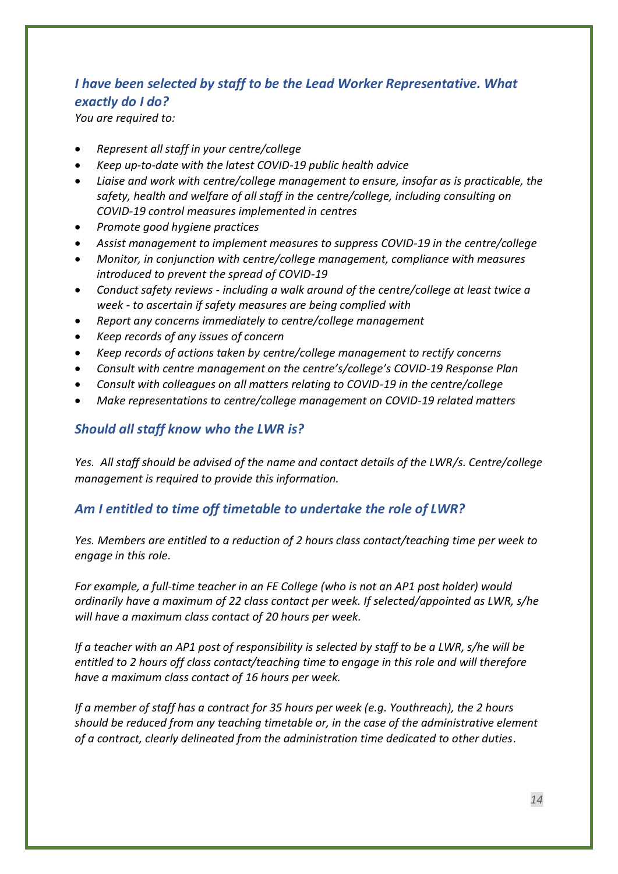## <span id="page-13-0"></span>*I have been selected by staff to be the Lead Worker Representative. What exactly do I do?*

*You are required to:*

- *Represent all staff in your centre/college*
- *Keep up-to-date with the latest COVID-19 public health advice*
- *Liaise and work with centre/college management to ensure, insofar as is practicable, the safety, health and welfare of all staff in the centre/college, including consulting on COVID-19 control measures implemented in centres*
- *Promote good hygiene practices*
- *Assist management to implement measures to suppress COVID-19 in the centre/college*
- *Monitor, in conjunction with centre/college management, compliance with measures introduced to prevent the spread of COVID-19*
- *Conduct safety reviews - including a walk around of the centre/college at least twice a week - to ascertain if safety measures are being complied with*
- *Report any concerns immediately to centre/college management*
- *Keep records of any issues of concern*
- *Keep records of actions taken by centre/college management to rectify concerns*
- *Consult with centre management on the centre's/college's COVID-19 Response Plan*
- *Consult with colleagues on all matters relating to COVID-19 in the centre/college*
- <span id="page-13-1"></span>• *Make representations to centre/college management on COVID-19 related matters*

## *Should all staff know who the LWR is?*

*Yes. All staff should be advised of the name and contact details of the LWR/s. Centre/college management is required to provide this information.*

## <span id="page-13-2"></span>*Am I entitled to time off timetable to undertake the role of LWR?*

*Yes. Members are entitled to a reduction of 2 hours class contact/teaching time per week to engage in this role.* 

*For example, a full-time teacher in an FE College (who is not an AP1 post holder) would ordinarily have a maximum of 22 class contact per week. If selected/appointed as LWR, s/he will have a maximum class contact of 20 hours per week.*

*If a teacher with an AP1 post of responsibility is selected by staff to be a LWR, s/he will be entitled to 2 hours off class contact/teaching time to engage in this role and will therefore have a maximum class contact of 16 hours per week.* 

*If a member of staff has a contract for 35 hours per week (e.g. Youthreach), the 2 hours should be reduced from any teaching timetable or, in the case of the administrative element of a contract, clearly delineated from the administration time dedicated to other duties.*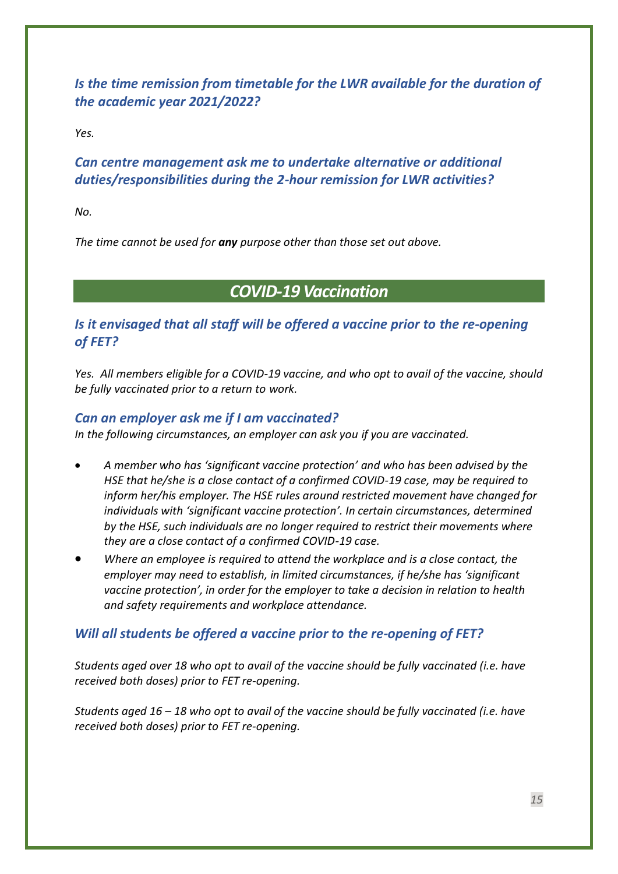<span id="page-14-0"></span>*Is the time remission from timetable for the LWR available for the duration of the academic year 2021/2022?*

<span id="page-14-1"></span>*Yes.* 

## *Can centre management ask me to undertake alternative or additional duties/responsibilities during the 2-hour remission for LWR activities?*

*No.* 

*The time cannot be used for any purpose other than those set out above.*

## *COVID-19 Vaccination*

## <span id="page-14-3"></span><span id="page-14-2"></span>*Is it envisaged that all staff will be offered a vaccine prior to the re-opening of FET?*

*Yes. All members eligible for a COVID-19 vaccine, and who opt to avail of the vaccine, should be fully vaccinated prior to a return to work.*

## <span id="page-14-4"></span>*Can an employer ask me if I am vaccinated?*

*In the following circumstances, an employer can ask you if you are vaccinated.*

- *A member who has 'significant vaccine protection' and who has been advised by the HSE that he/she is a close contact of a confirmed COVID-19 case, may be required to inform her/his employer. The HSE rules around restricted movement have changed for individuals with 'significant vaccine protection'. In certain circumstances, determined by the HSE, such individuals are no longer required to restrict their movements where they are a close contact of a confirmed COVID-19 case.*
- *Where an employee is required to attend the workplace and is a close contact, the employer may need to establish, in limited circumstances, if he/she has 'significant vaccine protection', in order for the employer to take a decision in relation to health and safety requirements and workplace attendance.*

## <span id="page-14-5"></span>*Will all students be offered a vaccine prior to the re-opening of FET?*

*Students aged over 18 who opt to avail of the vaccine should be fully vaccinated (i.e. have received both doses) prior to FET re-opening.*

*Students aged 16 – 18 who opt to avail of the vaccine should be fully vaccinated (i.e. have received both doses) prior to FET re-opening.*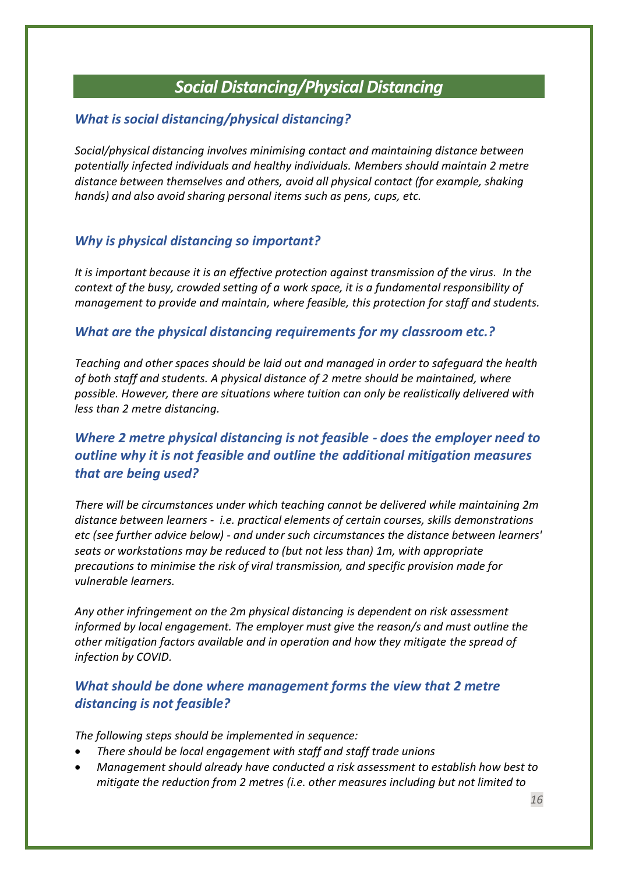## *Social Distancing/Physical Distancing*

## <span id="page-15-1"></span><span id="page-15-0"></span>*What is social distancing/physical distancing?*

*Social/physical distancing involves minimising contact and maintaining distance between potentially infected individuals and healthy individuals. Members should maintain 2 metre distance between themselves and others, avoid all physical contact (for example, shaking hands) and also avoid sharing personal items such as pens, cups, etc.*

## <span id="page-15-2"></span>*Why is physical distancing so important?*

*It is important because it is an effective protection against transmission of the virus. In the context of the busy, crowded setting of a work space, it is a fundamental responsibility of management to provide and maintain, where feasible, this protection for staff and students.* 

## <span id="page-15-3"></span>*What are the physical distancing requirements for my classroom etc.?*

*Teaching and other spaces should be laid out and managed in order to safeguard the health of both staff and students. A physical distance of 2 metre should be maintained, where possible. However, there are situations where tuition can only be realistically delivered with less than 2 metre distancing.*

## <span id="page-15-4"></span>*Where 2 metre physical distancing is not feasible - does the employer need to outline why it is not feasible and outline the additional mitigation measures that are being used?*

*There will be circumstances under which teaching cannot be delivered while maintaining 2m distance between learners - i.e. practical elements of certain courses, skills demonstrations etc (see further advice below) - and under such circumstances the distance between learners' seats or workstations may be reduced to (but not less than) 1m, with appropriate precautions to minimise the risk of viral transmission, and specific provision made for vulnerable learners.*

*Any other infringement on the 2m physical distancing is dependent on risk assessment informed by local engagement. The employer must give the reason/s and must outline the other mitigation factors available and in operation and how they mitigate the spread of infection by COVID.*

## <span id="page-15-5"></span>*What should be done where management forms the view that 2 metre distancing is not feasible?*

*The following steps should be implemented in sequence:*

- *There should be local engagement with staff and staff trade unions*
- *Management should already have conducted a risk assessment to establish how best to mitigate the reduction from 2 metres (i.e. other measures including but not limited to*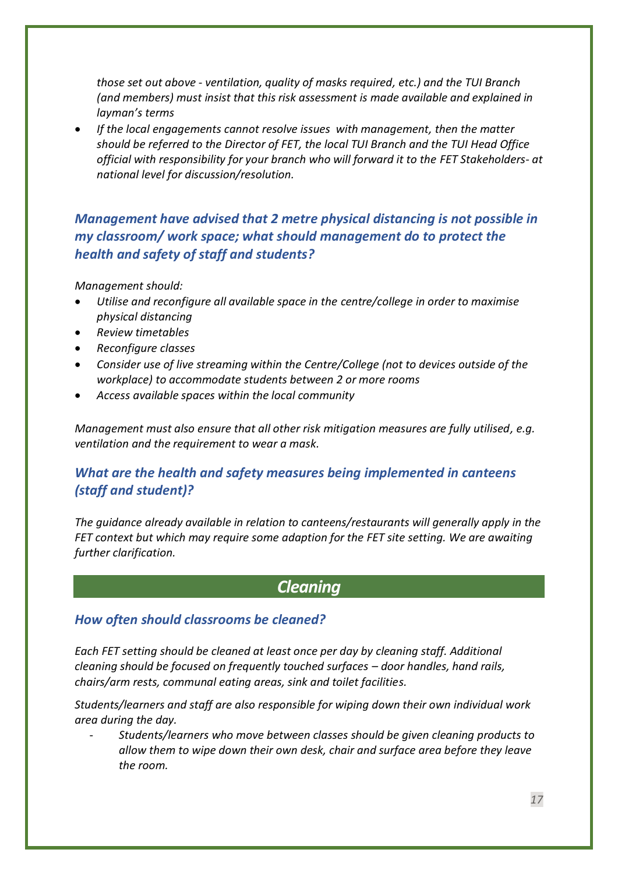*those set out above - ventilation, quality of masks required, etc.) and the TUI Branch (and members) must insist that this risk assessment is made available and explained in layman's terms*

• *If the local engagements cannot resolve issues with management, then the matter should be referred to the Director of FET, the local TUI Branch and the TUI Head Office official with responsibility for your branch who will forward it to the FET Stakeholders- at national level for discussion/resolution.*

<span id="page-16-0"></span>*Management have advised that 2 metre physical distancing is not possible in my classroom/ work space; what should management do to protect the health and safety of staff and students?*

*Management should:*

- *Utilise and reconfigure all available space in the centre/college in order to maximise physical distancing*
- *Review timetables*
- *Reconfigure classes*
- *Consider use of live streaming within the Centre/College (not to devices outside of the workplace) to accommodate students between 2 or more rooms*
- *Access available spaces within the local community*

*Management must also ensure that all other risk mitigation measures are fully utilised, e.g. ventilation and the requirement to wear a mask.*

## <span id="page-16-1"></span>*What are the health and safety measures being implemented in canteens (staff and student)?*

*The guidance already available in relation to canteens/restaurants will generally apply in the FET context but which may require some adaption for the FET site setting. We are awaiting further clarification.*

## *Cleaning*

#### <span id="page-16-3"></span><span id="page-16-2"></span>*How often should classrooms be cleaned?*

*Each FET setting should be cleaned at least once per day by cleaning staff. Additional cleaning should be focused on frequently touched surfaces – door handles, hand rails, chairs/arm rests, communal eating areas, sink and toilet facilities.*

*Students/learners and staff are also responsible for wiping down their own individual work area during the day.* 

- *Students/learners who move between classes should be given cleaning products to allow them to wipe down their own desk, chair and surface area before they leave the room.*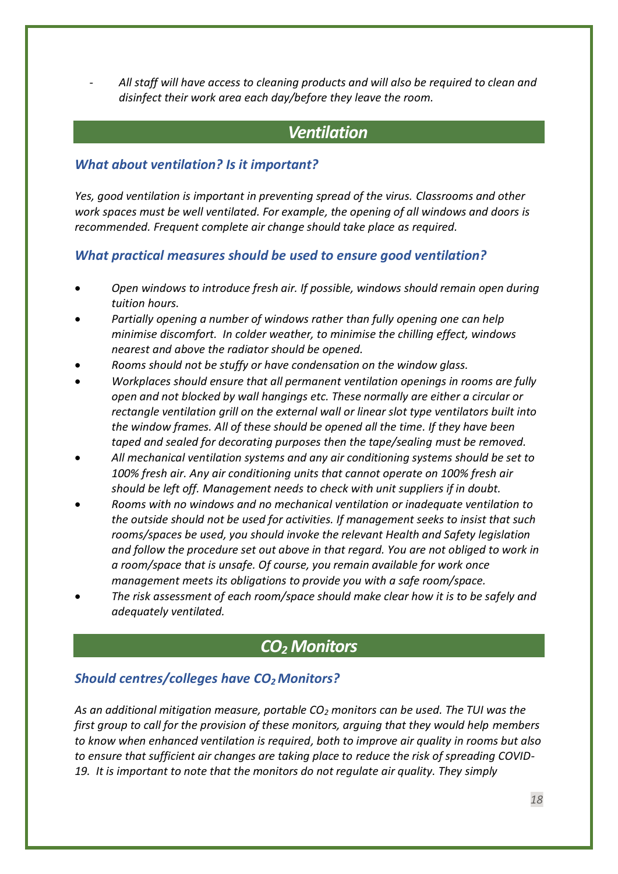- *All staff will have access to cleaning products and will also be required to clean and disinfect their work area each day/before they leave the room.*

## <span id="page-17-0"></span>*Ventilation*

## <span id="page-17-1"></span>*What about ventilation? Is it important?*

*Yes, good ventilation is important in preventing spread of the virus. Classrooms and other work spaces must be well ventilated. For example, the opening of all windows and doors is recommended. Frequent complete air change should take place as required.*

## <span id="page-17-2"></span>*What practical measures should be used to ensure good ventilation?*

- *Open windows to introduce fresh air. If possible, windows should remain open during tuition hours.*
- *Partially opening a number of windows rather than fully opening one can help minimise discomfort. In colder weather, to minimise the chilling effect, windows nearest and above the radiator should be opened.*
- *Rooms should not be stuffy or have condensation on the window glass.*
- *Workplaces should ensure that all permanent ventilation openings in rooms are fully open and not blocked by wall hangings etc. These normally are either a circular or rectangle ventilation grill on the external wall or linear slot type ventilators built into the window frames. All of these should be opened all the time. If they have been taped and sealed for decorating purposes then the tape/sealing must be removed.*
- *All mechanical ventilation systems and any air conditioning systems should be set to 100% fresh air. Any air conditioning units that cannot operate on 100% fresh air should be left off. Management needs to check with unit suppliers if in doubt.*
- *Rooms with no windows and no mechanical ventilation or inadequate ventilation to the outside should not be used for activities. If management seeks to insist that such rooms/spaces be used, you should invoke the relevant Health and Safety legislation and follow the procedure set out above in that regard. You are not obliged to work in a room/space that is unsafe. Of course, you remain available for work once management meets its obligations to provide you with a safe room/space.*
- *The risk assessment of each room/space should make clear how it is to be safely and adequately ventilated.*

## *CO<sup>2</sup> Monitors*

## <span id="page-17-4"></span><span id="page-17-3"></span>*Should centres/colleges have CO2Monitors?*

*As an additional mitigation measure, portable CO<sup>2</sup> monitors can be used. The TUI was the first group to call for the provision of these monitors, arguing that they would help members to know when enhanced ventilation is required, both to improve air quality in rooms but also to ensure that sufficient air changes are taking place to reduce the risk of spreading COVID-19. It is important to note that the monitors do not regulate air quality. They simply*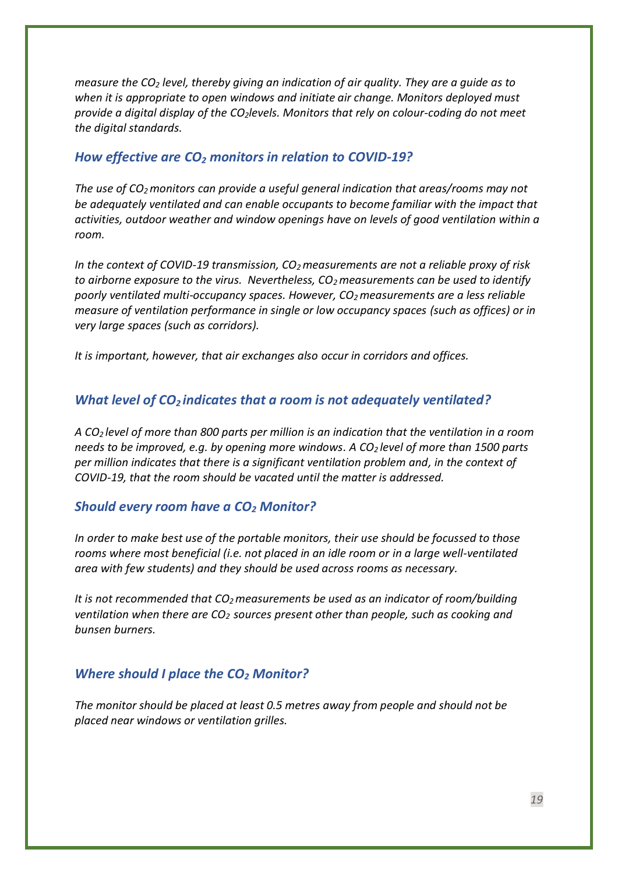*measure the CO<sup>2</sup> level, thereby giving an indication of air quality. They are a guide as to when it is appropriate to open windows and initiate air change. Monitors deployed must provide a digital display of the CO2levels. Monitors that rely on colour-coding do not meet the digital standards.*

## <span id="page-18-0"></span>*How effective are CO<sup>2</sup> monitors in relation to COVID-19?*

*The use of CO2monitors can provide a useful general indication that areas/rooms may not be adequately ventilated and can enable occupants to become familiar with the impact that activities, outdoor weather and window openings have on levels of good ventilation within a room.*

*In the context of COVID-19 transmission, CO2measurements are not a reliable proxy of risk to airborne exposure to the virus. Nevertheless, CO2measurements can be used to identify poorly ventilated multi-occupancy spaces. However, CO2measurements are a less reliable measure of ventilation performance in single or low occupancy spaces (such as offices) or in very large spaces (such as corridors).*

*It is important, however, that air exchanges also occur in corridors and offices.*

#### <span id="page-18-1"></span>*What level of CO<sup>2</sup> indicates that a room is not adequately ventilated?*

*A CO<sup>2</sup> level of more than 800 parts per million is an indication that the ventilation in a room needs to be improved, e.g. by opening more windows. A CO<sup>2</sup> level of more than 1500 parts per million indicates that there is a significant ventilation problem and, in the context of COVID-19, that the room should be vacated until the matter is addressed.* 

#### <span id="page-18-2"></span>*Should every room have a CO<sup>2</sup> Monitor?*

*In order to make best use of the portable monitors, their use should be focussed to those rooms where most beneficial (i.e. not placed in an idle room or in a large well-ventilated area with few students) and they should be used across rooms as necessary.* 

*It is not recommended that CO2measurements be used as an indicator of room/building ventilation when there are CO2 sources present other than people, such as cooking and bunsen burners.*

#### <span id="page-18-3"></span>*Where should I place the CO<sup>2</sup> Monitor?*

*The monitor should be placed at least 0.5 metres away from people and should not be placed near windows or ventilation grilles.*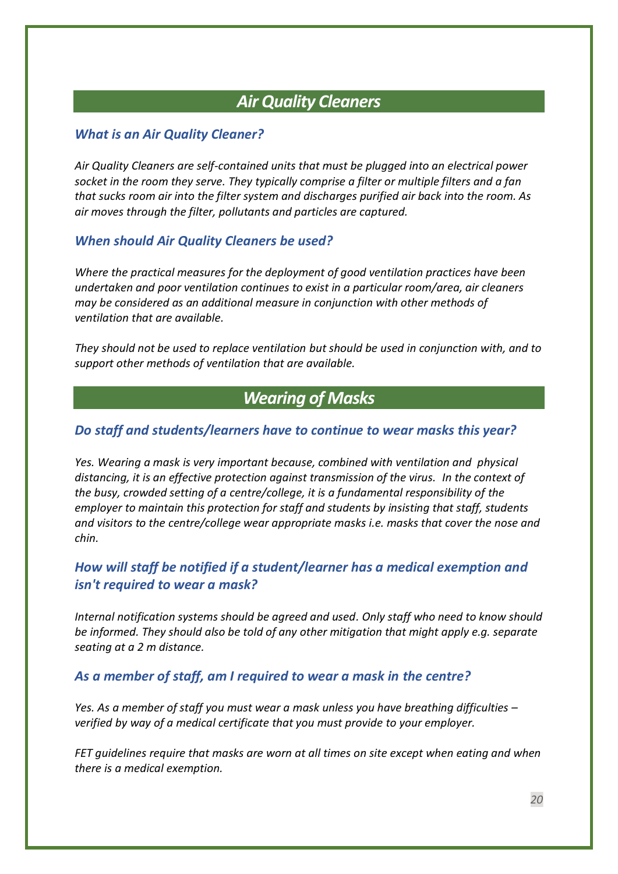## *Air Quality Cleaners*

## <span id="page-19-1"></span><span id="page-19-0"></span>*What is an Air Quality Cleaner?*

*Air Quality Cleaners are self-contained units that must be plugged into an electrical power socket in the room they serve. They typically comprise a filter or multiple filters and a fan that sucks room air into the filter system and discharges purified air back into the room. As air moves through the filter, pollutants and particles are captured.*

#### <span id="page-19-2"></span>*When should Air Quality Cleaners be used?*

*Where the practical measures for the deployment of good ventilation practices have been undertaken and poor ventilation continues to exist in a particular room/area, air cleaners may be considered as an additional measure in conjunction with other methods of ventilation that are available.*

*They should not be used to replace ventilation but should be used in conjunction with, and to support other methods of ventilation that are available.*

## *Wearing of Masks*

#### <span id="page-19-4"></span><span id="page-19-3"></span>*Do staff and students/learners have to continue to wear masks this year?*

*Yes. Wearing a mask is very important because, combined with ventilation and physical distancing, it is an effective protection against transmission of the virus. In the context of the busy, crowded setting of a centre/college, it is a fundamental responsibility of the employer to maintain this protection for staff and students by insisting that staff, students and visitors to the centre/college wear appropriate masks i.e. masks that cover the nose and chin.*

## <span id="page-19-5"></span>*How will staff be notified if a student/learner has a medical exemption and isn't required to wear a mask?*

*Internal notification systems should be agreed and used. Only staff who need to know should be informed. They should also be told of any other mitigation that might apply e.g. separate seating at a 2 m distance.*

#### <span id="page-19-6"></span>*As a member of staff, am I required to wear a mask in the centre?*

*Yes. As a member of staff you must wear a mask unless you have breathing difficulties – verified by way of a medical certificate that you must provide to your employer.*

*FET guidelines require that masks are worn at all times on site except when eating and when there is a medical exemption.*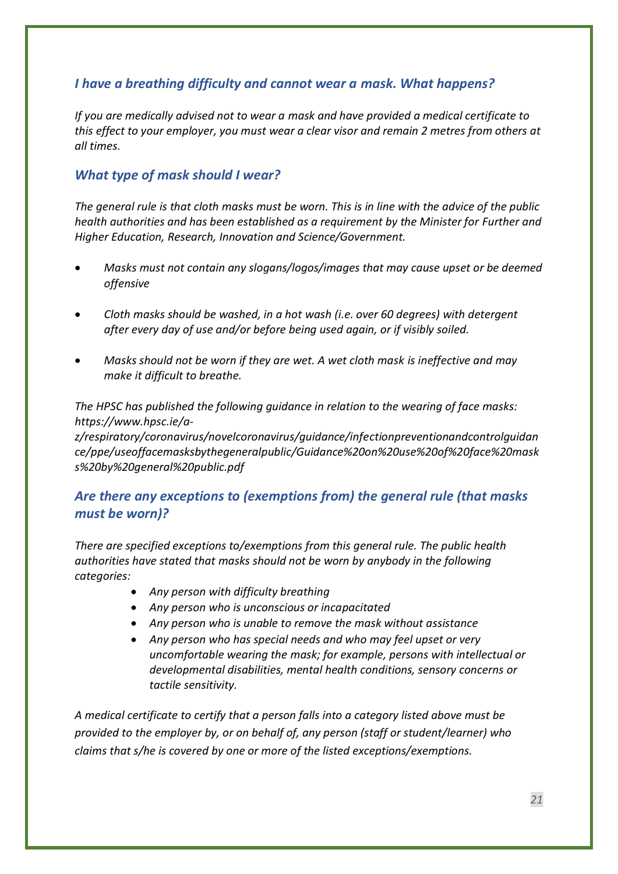## <span id="page-20-0"></span>*I have a breathing difficulty and cannot wear a mask. What happens?*

*If you are medically advised not to wear a mask and have provided a medical certificate to this effect to your employer, you must wear a clear visor and remain 2 metres from others at all times.*

## <span id="page-20-1"></span>*What type of mask should I wear?*

*The general rule is that cloth masks must be worn. This is in line with the advice of the public health authorities and has been established as a requirement by the Minister for Further and Higher Education, Research, Innovation and Science/Government.* 

- *Masks must not contain any slogans/logos/images that may cause upset or be deemed offensive*
- *Cloth masks should be washed, in a hot wash (i.e. over 60 degrees) with detergent after every day of use and/or before being used again, or if visibly soiled.*
- *Masks should not be worn if they are wet. A wet cloth mask is ineffective and may make it difficult to breathe.*

*The HPSC has published the following guidance in relation to the wearing of face masks: [https://www.hpsc.ie/a-](https://www.hpsc.ie/a-z/respiratory/coronavirus/novelcoronavirus/guidance/infectionpreventionandcontrolguidance/ppe/useoffacemasksbythegeneralpublic/Guidance%20on%20use%20of%20face%20masks%20by%20general%20public.pdf)*

*[z/respiratory/coronavirus/novelcoronavirus/guidance/infectionpreventionandcontrolguidan](https://www.hpsc.ie/a-z/respiratory/coronavirus/novelcoronavirus/guidance/infectionpreventionandcontrolguidance/ppe/useoffacemasksbythegeneralpublic/Guidance%20on%20use%20of%20face%20masks%20by%20general%20public.pdf) [ce/ppe/useoffacemasksbythegeneralpublic/Guidance%20on%20use%20of%20face%20mask](https://www.hpsc.ie/a-z/respiratory/coronavirus/novelcoronavirus/guidance/infectionpreventionandcontrolguidance/ppe/useoffacemasksbythegeneralpublic/Guidance%20on%20use%20of%20face%20masks%20by%20general%20public.pdf) [s%20by%20general%20public.pdf](https://www.hpsc.ie/a-z/respiratory/coronavirus/novelcoronavirus/guidance/infectionpreventionandcontrolguidance/ppe/useoffacemasksbythegeneralpublic/Guidance%20on%20use%20of%20face%20masks%20by%20general%20public.pdf)*

## <span id="page-20-2"></span>*Are there any exceptions to (exemptions from) the general rule (that masks must be worn)?*

*There are specified exceptions to/exemptions from this general rule. The public health authorities have stated that masks should not be worn by anybody in the following categories:*

- *Any person with difficulty breathing*
- *Any person who is unconscious or incapacitated*
- *Any person who is unable to remove the mask without assistance*
- *Any person who has special needs and who may feel upset or very uncomfortable wearing the mask; for example, persons with intellectual or developmental disabilities, mental health conditions, sensory concerns or tactile sensitivity.*

*A medical certificate to certify that a person falls into a category listed above must be provided to the employer by, or on behalf of, any person (staff or student/learner) who claims that s/he is covered by one or more of the listed exceptions/exemptions.*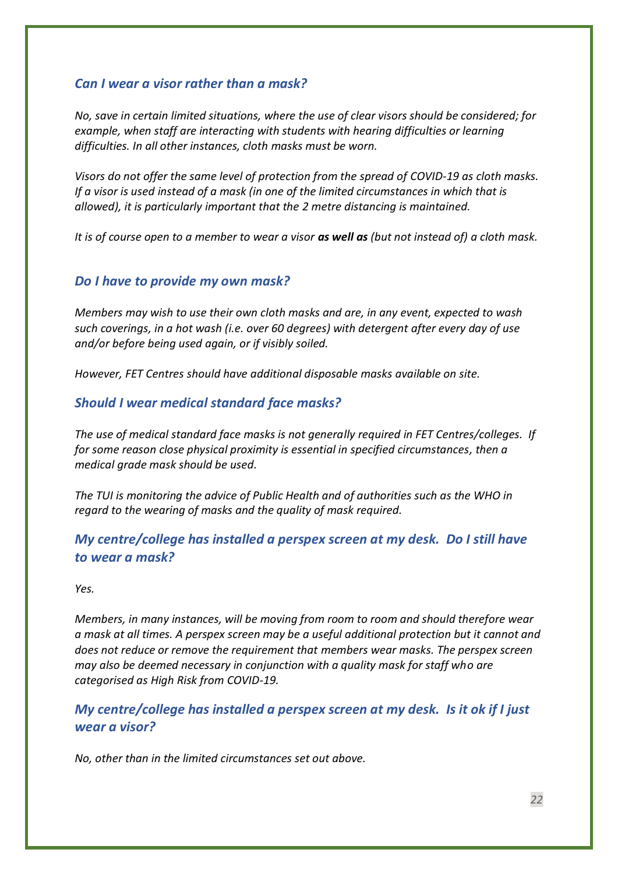## <span id="page-21-0"></span>*Can I wear a visor rather than a mask?*

*No, save in certain limited situations, where the use of clear visors should be considered; for example, when staff are interacting with students with hearing difficulties or learning difficulties. In all other instances, cloth masks must be worn.*

*Visors do not offer the same level of protection from the spread of COVID-19 as cloth masks. If a visor is used instead of a mask (in one of the limited circumstances in which that is allowed), it is particularly important that the 2 metre distancing is maintained.* 

*It is of course open to a member to wear a visor as well as (but not instead of) a cloth mask.*

#### <span id="page-21-1"></span>*Do I have to provide my own mask?*

*Members may wish to use their own cloth masks and are, in any event, expected to wash such coverings, in a hot wash (i.e. over 60 degrees) with detergent after every day of use and/or before being used again, or if visibly soiled.* 

<span id="page-21-2"></span>*However, FET Centres should have additional disposable masks available on site.*

#### *Should I wear medical standard face masks?*

*The use of medical standard face masks is not generally required in FET Centres/colleges. If for some reason close physical proximity is essential in specified circumstances, then a medical grade mask should be used.*

*The TUI is monitoring the advice of Public Health and of authorities such as the WHO in regard to the wearing of masks and the quality of mask required.*

## <span id="page-21-3"></span>*My centre/college has installed a perspex screen at my desk. Do I still have to wear a mask?*

*Yes.* 

*Members, in many instances, will be moving from room to room and should therefore wear a mask at all times. A perspex screen may be a useful additional protection but it cannot and does not reduce or remove the requirement that members wear masks. The perspex screen may also be deemed necessary in conjunction with a quality mask for staff who are categorised as High Risk from COVID-19.*

## <span id="page-21-4"></span>*My centre/college has installed a perspex screen at my desk. Is it ok if I just wear a visor?*

*No, other than in the limited circumstances set out above.*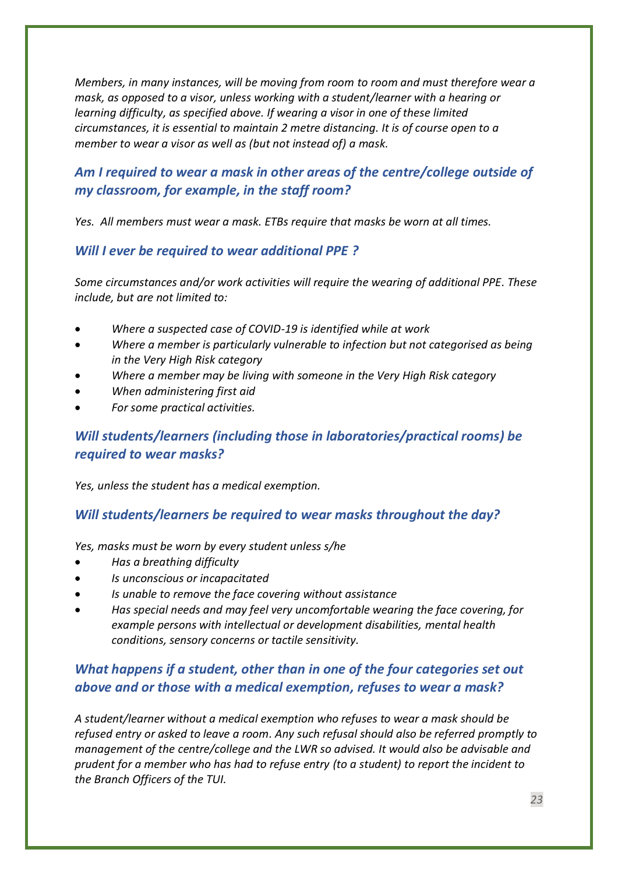*Members, in many instances, will be moving from room to room and must therefore wear a mask, as opposed to a visor, unless working with a student/learner with a hearing or learning difficulty, as specified above. If wearing a visor in one of these limited circumstances, it is essential to maintain 2 metre distancing. It is of course open to a member to wear a visor as well as (but not instead of) a mask.*

## <span id="page-22-0"></span>*Am I required to wear a mask in other areas of the centre/college outside of my classroom, for example, in the staff room?*

*Yes. All members must wear a mask. ETBs require that masks be worn at all times.* 

## <span id="page-22-1"></span>*Will I ever be required to wear additional PPE ?*

*Some circumstances and/or work activities will require the wearing of additional PPE. These include, but are not limited to:*

- *Where a suspected case of COVID-19 is identified while at work*
- *Where a member is particularly vulnerable to infection but not categorised as being in the Very High Risk category*
- *Where a member may be living with someone in the Very High Risk category*
- *When administering first aid*
- <span id="page-22-2"></span>• *For some practical activities.*

## *Will students/learners (including those in laboratories/practical rooms) be required to wear masks?*

*Yes, unless the student has a medical exemption.*

## <span id="page-22-3"></span>*Will students/learners be required to wear masks throughout the day?*

*Yes, masks must be worn by every student unless s/he* 

- *Has a breathing difficulty*
- *Is unconscious or incapacitated*
- *Is unable to remove the face covering without assistance*
- *Has special needs and may feel very uncomfortable wearing the face covering, for example persons with intellectual or development disabilities, mental health conditions, sensory concerns or tactile sensitivity.*

## <span id="page-22-4"></span>*What happens if a student, other than in one of the four categories set out above and or those with a medical exemption, refuses to wear a mask?*

*A student/learner without a medical exemption who refuses to wear a mask should be refused entry or asked to leave a room. Any such refusal should also be referred promptly to management of the centre/college and the LWR so advised. It would also be advisable and prudent for a member who has had to refuse entry (to a student) to report the incident to the Branch Officers of the TUI.*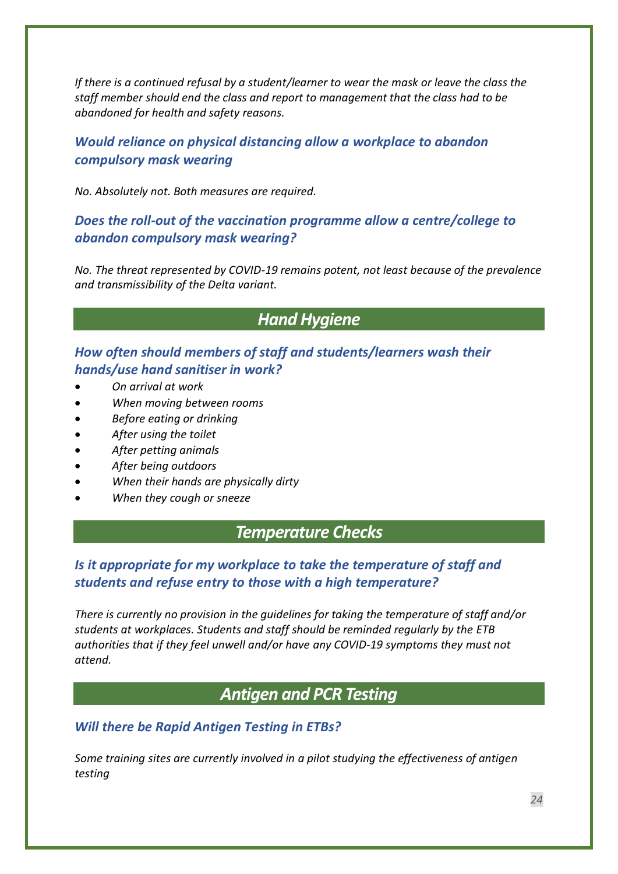*If there is a continued refusal by a student/learner to wear the mask or leave the class the staff member should end the class and report to management that the class had to be abandoned for health and safety reasons.*

## <span id="page-23-0"></span>*Would reliance on physical distancing allow a workplace to abandon compulsory mask wearing*

<span id="page-23-1"></span>*No. Absolutely not. Both measures are required.*

## *Does the roll-out of the vaccination programme allow a centre/college to abandon compulsory mask wearing?*

*No. The threat represented by COVID-19 remains potent, not least because of the prevalence and transmissibility of the Delta variant.* 

## *Hand Hygiene*

<span id="page-23-3"></span><span id="page-23-2"></span>*How often should members of staff and students/learners wash their hands/use hand sanitiser in work?*

- *On arrival at work*
- *When moving between rooms*
- *Before eating or drinking*
- *After using the toilet*
- *After petting animals*
- *After being outdoors*
- *When their hands are physically dirty*
- <span id="page-23-4"></span>• *When they cough or sneeze*

## *Temperature Checks*

## <span id="page-23-5"></span>*Is it appropriate for my workplace to take the temperature of staff and students and refuse entry to those with a high temperature?*

*There is currently no provision in the guidelines for taking the temperature of staff and/or students at workplaces. Students and staff should be reminded regularly by the ETB authorities that if they feel unwell and/or have any COVID-19 symptoms they must not attend.* 

## *Antigen and PCR Testing*

#### <span id="page-23-7"></span><span id="page-23-6"></span>*Will there be Rapid Antigen Testing in ETBs?*

*Some training sites are currently involved in a pilot studying the effectiveness of antigen testing*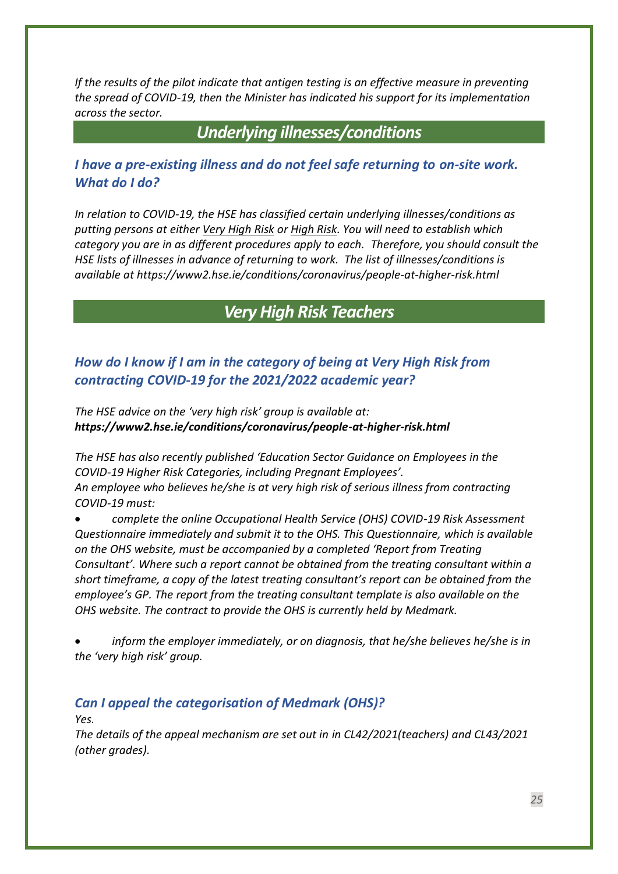*If the results of the pilot indicate that antigen testing is an effective measure in preventing the spread of COVID-19, then the Minister has indicated his support for its implementation across the sector.* 

*Underlying illnesses/conditions*

## <span id="page-24-1"></span><span id="page-24-0"></span>*I have a pre-existing illness and do not feel safe returning to on-site work. What do I do?*

*In relation to COVID-19, the HSE has classified certain underlying illnesses/conditions as putting persons at either Very High Risk or High Risk. You will need to establish which category you are in as different procedures apply to each. Therefore, you should consult the HSE lists of illnesses in advance of returning to work. The list of illnesses/conditions is available a[t https://www2.hse.ie/conditions/coronavirus/people-at-higher-risk.html](https://www2.hse.ie/conditions/coronavirus/people-at-higher-risk.html)*

## *Very High Risk Teachers*

## <span id="page-24-3"></span><span id="page-24-2"></span>*How do I know if I am in the category of being at Very High Risk from contracting COVID-19 for the 2021/2022 academic year?*

*The HSE advice on the 'very high risk' group is available at: <https://www2.hse.ie/conditions/coronavirus/people-at-higher-risk.html>*

*The HSE has also recently published 'Education Sector Guidance on Employees in the COVID-19 Higher Risk Categories, including Pregnant Employees'. An employee who believes he/she is at very high risk of serious illness from contracting COVID-19 must:* 

• *complete the online Occupational Health Service (OHS) COVID-19 Risk Assessment Questionnaire immediately and submit it to the OHS. This Questionnaire, which is available on the OHS website, must be accompanied by a completed 'Report from Treating Consultant'. Where such a report cannot be obtained from the treating consultant within a short timeframe, a copy of the latest treating consultant's report can be obtained from the employee's GP. The report from the treating consultant template is also available on the OHS website. The contract to provide the OHS is currently held by Medmark.*

• *inform the employer immediately, or on diagnosis, that he/she believes he/she is in the 'very high risk' group.* 

## <span id="page-24-4"></span>*Can I appeal the categorisation of Medmark (OHS)?*

*Yes.* 

*The details of the appeal mechanism are set out in in CL42/2021(teachers) and CL43/2021 (other grades).*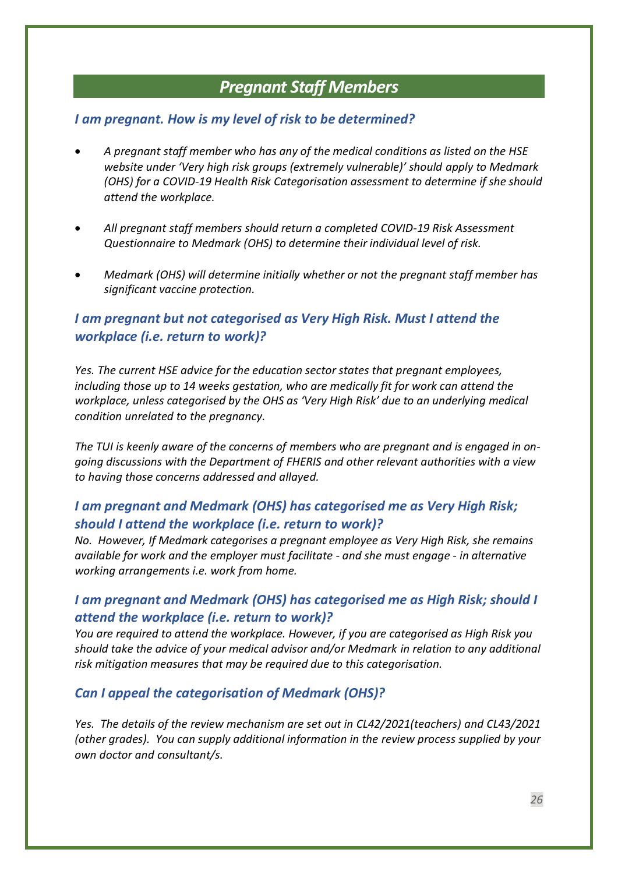## *Pregnant Staff Members*

## <span id="page-25-1"></span><span id="page-25-0"></span>*I am pregnant. How is my level of risk to be determined?*

- *A pregnant staff member who has any of the medical conditions as listed on the HSE website under 'Very high risk groups (extremely vulnerable)' should apply to Medmark (OHS) for a COVID-19 Health Risk Categorisation assessment to determine if she should attend the workplace.*
- *All pregnant staff members should return a completed COVID-19 Risk Assessment Questionnaire to Medmark (OHS) to determine their individual level of risk.*
- *Medmark (OHS) will determine initially whether or not the pregnant staff member has significant vaccine protection.*

## <span id="page-25-2"></span>*I am pregnant but not categorised as Very High Risk. Must I attend the workplace (i.e. return to work)?*

*Yes. The current HSE advice for the education sector states that pregnant employees, including those up to 14 weeks gestation, who are medically fit for work can attend the workplace, unless categorised by the OHS as 'Very High Risk' due to an underlying medical condition unrelated to the pregnancy.* 

*The TUI is keenly aware of the concerns of members who are pregnant and is engaged in ongoing discussions with the Department of FHERIS and other relevant authorities with a view to having those concerns addressed and allayed.* 

## <span id="page-25-3"></span>*I am pregnant and Medmark (OHS) has categorised me as Very High Risk; should I attend the workplace (i.e. return to work)?*

*No. However, If Medmark categorises a pregnant employee as Very High Risk, she remains available for work and the employer must facilitate - and she must engage - in alternative working arrangements i.e. work from home.* 

## <span id="page-25-4"></span>*I am pregnant and Medmark (OHS) has categorised me as High Risk; should I attend the workplace (i.e. return to work)?*

*You are required to attend the workplace. However, if you are categorised as High Risk you should take the advice of your medical advisor and/or Medmark in relation to any additional risk mitigation measures that may be required due to this categorisation.* 

#### <span id="page-25-5"></span>*Can I appeal the categorisation of Medmark (OHS)?*

*Yes. The details of the review mechanism are set out in CL42/2021(teachers) and CL43/2021 (other grades). You can supply additional information in the review process supplied by your own doctor and consultant/s.*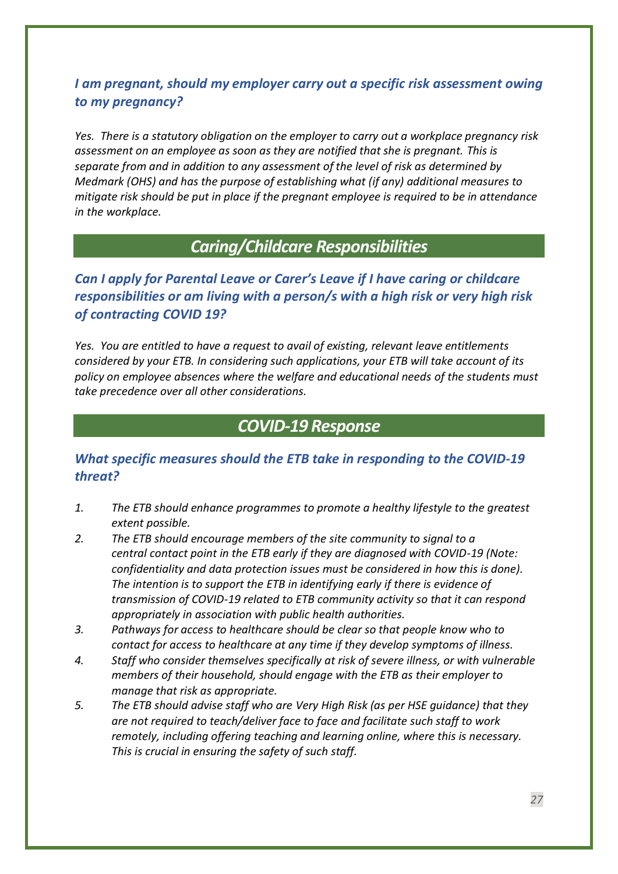## <span id="page-26-0"></span>*I am pregnant, should my employer carry out a specific risk assessment owing to my pregnancy?*

*Yes. There is a statutory obligation on the employer to carry out a workplace pregnancy risk assessment on an employee as soon as they are notified that she is pregnant. This is separate from and in addition to any assessment of the level of risk as determined by Medmark (OHS) and has the purpose of establishing what (if any) additional measures to mitigate risk should be put in place if the pregnant employee is required to be in attendance in the workplace.* 

## *Caring/Childcare Responsibilities*

<span id="page-26-2"></span><span id="page-26-1"></span>*Can I apply for Parental Leave or Carer's Leave if I have caring or childcare responsibilities or am living with a person/s with a high risk or very high risk of contracting COVID 19?* 

*Yes. You are entitled to have a request to avail of existing, relevant leave entitlements considered by your ETB. In considering such applications, your ETB will take account of its policy on employee absences where the welfare and educational needs of the students must take precedence over all other considerations.* 

## *COVID-19 Response*

## <span id="page-26-4"></span><span id="page-26-3"></span>*What specific measures should the ETB take in responding to the COVID-19 threat?*

- *1. The ETB should enhance programmes to promote a healthy lifestyle to the greatest extent possible.*
- *2. The ETB should encourage members of the site community to signal to a central contact point in the ETB early if they are diagnosed with COVID-19 (Note: confidentiality and data protection issues must be considered in how this is done). The intention is to support the ETB in identifying early if there is evidence of transmission of COVID-19 related to ETB community activity so that it can respond appropriately in association with public health authorities.*
- *3. Pathways for access to healthcare should be clear so that people know who to contact for access to healthcare at any time if they develop symptoms of illness.*
- *4. Staff who consider themselves specifically at risk of severe illness, or with vulnerable members of their household, should engage with the ETB as their employer to manage that risk as appropriate.*
- *5. The ETB should advise staff who are Very High Risk (as per HSE guidance) that they are not required to teach/deliver face to face and facilitate such staff to work remotely, including offering teaching and learning online, where this is necessary. This is crucial in ensuring the safety of such staff.*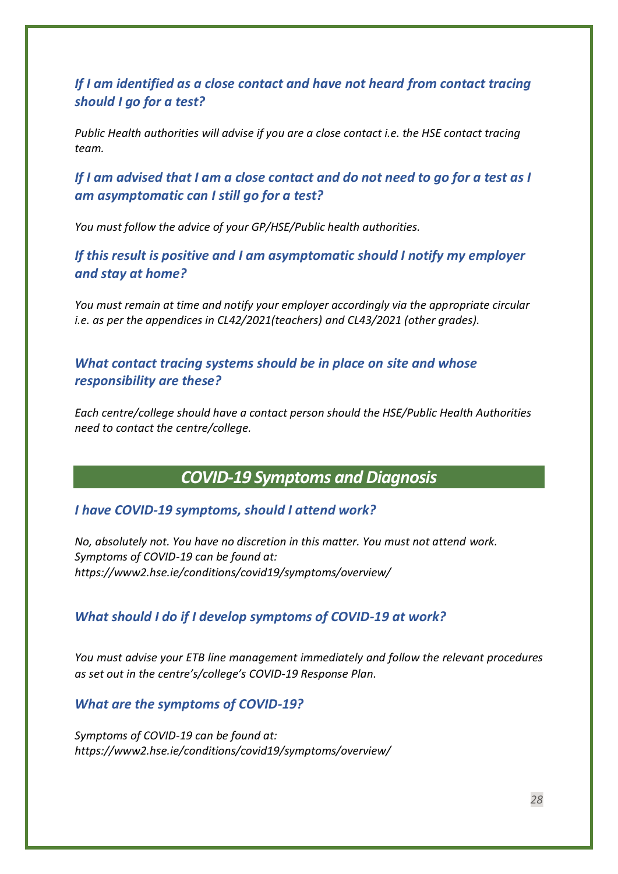<span id="page-27-0"></span>*If I am identified as a close contact and have not heard from contact tracing should I go for a test?*

*Public Health authorities will advise if you are a close contact i.e. the HSE contact tracing team.*

<span id="page-27-1"></span>*If I am advised that I am a close contact and do not need to go for a test as I am asymptomatic can I still go for a test?*

<span id="page-27-2"></span>*You must follow the advice of your GP/HSE/Public health authorities.*

*If this result is positive and I am asymptomatic should I notify my employer and stay at home?*

*You must remain at time and notify your employer accordingly via the appropriate circular i.e. as per the appendices in CL42/2021(teachers) and CL43/2021 (other grades).*

<span id="page-27-3"></span>*What contact tracing systems should be in place on site and whose responsibility are these?*

*Each centre/college should have a contact person should the HSE/Public Health Authorities need to contact the centre/college.*

*COVID-19 Symptoms and Diagnosis*

<span id="page-27-5"></span><span id="page-27-4"></span>*I have COVID-19 symptoms, should I attend work?*

*No, absolutely not. You have no discretion in this matter. You must not attend work. Symptoms of COVID-19 can be found at: <https://www2.hse.ie/conditions/covid19/symptoms/overview/>*

#### <span id="page-27-6"></span>*What should I do if I develop symptoms of COVID-19 at work?*

*You must advise your ETB line management immediately and follow the relevant procedures as set out in the centre's/college's COVID-19 Response Plan.*

<span id="page-27-7"></span>*What are the symptoms of COVID-19?*

*Symptoms of COVID-19 can be found at: <https://www2.hse.ie/conditions/covid19/symptoms/overview/>*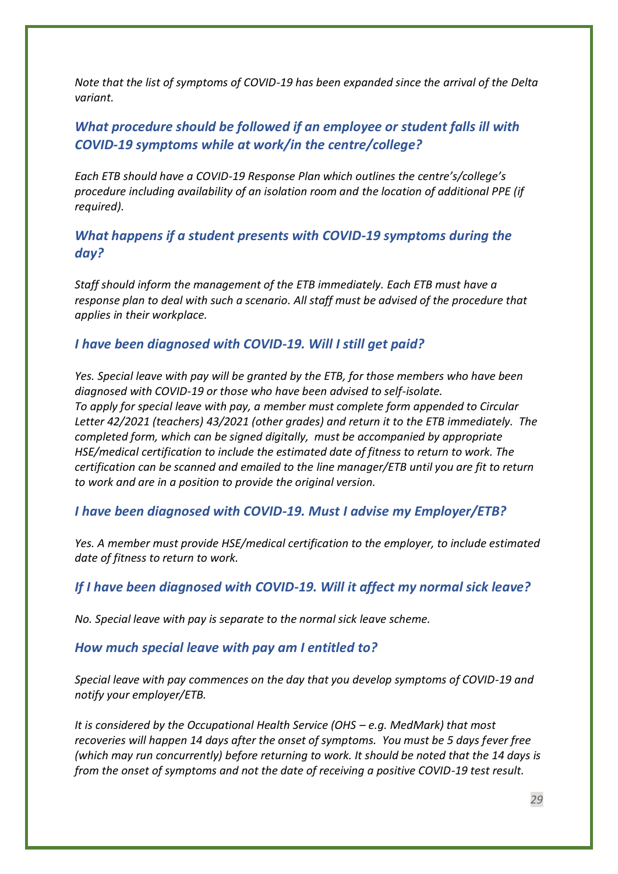*Note that the list of symptoms of COVID-19 has been expanded since the arrival of the Delta variant.*

## <span id="page-28-0"></span>*What procedure should be followed if an employee or student falls ill with COVID-19 symptoms while at work/in the centre/college?*

*Each ETB should have a COVID-19 Response Plan which outlines the centre's/college's procedure including availability of an isolation room and the location of additional PPE (if required).*

## <span id="page-28-1"></span>*What happens if a student presents with COVID-19 symptoms during the day?*

*Staff should inform the management of the ETB immediately. Each ETB must have a response plan to deal with such a scenario. All staff must be advised of the procedure that applies in their workplace.*

## <span id="page-28-2"></span>*I have been diagnosed with COVID-19. Will I still get paid?*

*Yes. Special leave with pay will be granted by the ETB, for those members who have been diagnosed with COVID-19 or those who have been advised to self-isolate. To apply for special leave with pay, a member must complete form appended to Circular Letter 42/2021 (teachers) 43/2021 (other grades) and return it to the ETB immediately. The completed form, which can be signed digitally, must be accompanied by appropriate HSE/medical certification to include the estimated date of fitness to return to work. The certification can be scanned and emailed to the line manager/ETB until you are fit to return to work and are in a position to provide the original version.*

#### <span id="page-28-3"></span>*I have been diagnosed with COVID-19. Must I advise my Employer/ETB?*

*Yes. A member must provide HSE/medical certification to the employer, to include estimated date of fitness to return to work.* 

## <span id="page-28-4"></span>*If I have been diagnosed with COVID-19. Will it affect my normal sick leave?*

*No. Special leave with pay is separate to the normal sick leave scheme.*

#### <span id="page-28-5"></span>*How much special leave with pay am I entitled to?*

*Special leave with pay commences on the day that you develop symptoms of COVID-19 and notify your employer/ETB.* 

*It is considered by the Occupational Health Service (OHS – e.g. MedMark) that most recoveries will happen 14 days after the onset of symptoms. You must be 5 days fever free (which may run concurrently) before returning to work. It should be noted that the 14 days is from the onset of symptoms and not the date of receiving a positive COVID-19 test result.*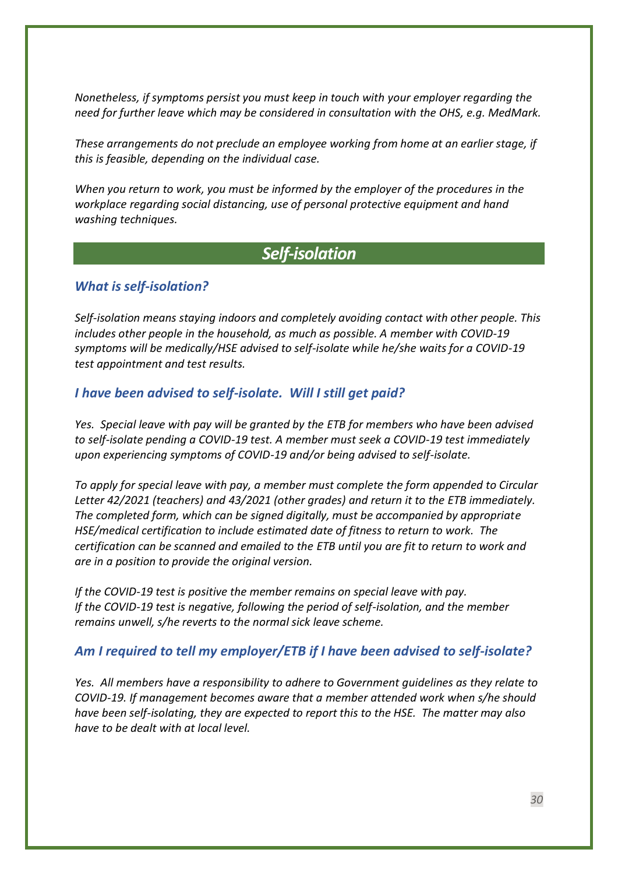*Nonetheless, if symptoms persist you must keep in touch with your employer regarding the need for further leave which may be considered in consultation with the OHS, e.g. MedMark.*

*These arrangements do not preclude an employee working from home at an earlier stage, if this is feasible, depending on the individual case.* 

*When you return to work, you must be informed by the employer of the procedures in the workplace regarding social distancing, use of personal protective equipment and hand washing techniques.* 

## *Self-isolation*

#### <span id="page-29-1"></span><span id="page-29-0"></span>*What is self-isolation?*

*Self-isolation means staying indoors and completely avoiding contact with other people. This includes other people in the household, as much as possible. A member with COVID-19 symptoms will be medically/HSE advised to self-isolate while he/she waits for a COVID-19 test appointment and test results.* 

#### <span id="page-29-2"></span>*I have been advised to self-isolate. Will I still get paid?*

*Yes. Special leave with pay will be granted by the ETB for members who have been advised to self-isolate pending a COVID-19 test. A member must seek a COVID-19 test immediately upon experiencing symptoms of COVID-19 and/or being advised to self-isolate.*

*To apply for special leave with pay, a member must complete the form appended to Circular Letter 42/2021 (teachers) and 43/2021 (other grades) and return it to the ETB immediately. The completed form, which can be signed digitally, must be accompanied by appropriate HSE/medical certification to include estimated date of fitness to return to work. The certification can be scanned and emailed to the ETB until you are fit to return to work and are in a position to provide the original version.*

*If the COVID-19 test is positive the member remains on special leave with pay. If the COVID-19 test is negative, following the period of self-isolation, and the member remains unwell, s/he reverts to the normal sick leave scheme.*

#### <span id="page-29-3"></span>*Am I required to tell my employer/ETB if I have been advised to self-isolate?*

*Yes. All members have a responsibility to adhere to Government guidelines as they relate to COVID-19. If management becomes aware that a member attended work when s/he should have been self-isolating, they are expected to report this to the HSE. The matter may also have to be dealt with at local level.*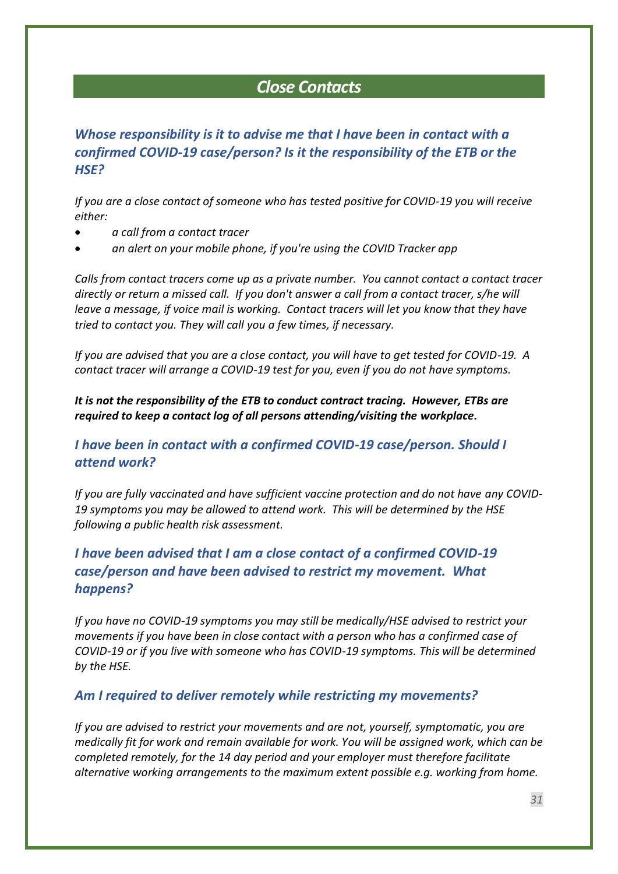## *Close Contacts*

## <span id="page-30-1"></span><span id="page-30-0"></span>*Whose responsibility is it to advise me that I have been in contact with a confirmed COVID-19 case/person? Is it the responsibility of the ETB or the HSE?*

*If you are a close contact of someone who has tested positive for COVID-19 you will receive either:*

- *a call from a contact tracer*
- *an alert on your mobile phone, if you're using the COVID Tracker app*

*Calls from contact tracers come up as a private number. You cannot contact a contact tracer directly or return a missed call. If you don't answer a call from a contact tracer, s/he will leave a message, if voice mail is working. Contact tracers will let you know that they have tried to contact you. They will call you a few times, if necessary.*

*If you are advised that you are a close contact, you will have to get tested for COVID-19. A contact tracer will arrange a COVID-19 test for you, even if you do not have symptoms.*

*It is not the responsibility of the ETB to conduct contract tracing. However, ETBs are required to keep a contact log of all persons attending/visiting the workplace.*

## <span id="page-30-2"></span>*I have been in contact with a confirmed COVID-19 case/person. Should I attend work?*

*If you are fully vaccinated and have sufficient vaccine protection and do not have any COVID-19 symptoms you may be allowed to attend work. This will be determined by the HSE following a public health risk assessment.*

## <span id="page-30-3"></span>*I have been advised that I am a close contact of a confirmed COVID-19 case/person and have been advised to restrict my movement. What happens?*

*If you have no COVID-19 symptoms you may still be medically/HSE advised to restrict your movements if you have been in close contact with a person who has a confirmed case of COVID-19 or if you live with someone who has COVID-19 symptoms. This will be determined by the HSE.*

#### <span id="page-30-4"></span>*Am I required to deliver remotely while restricting my movements?*

*If you are advised to restrict your movements and are not, yourself, symptomatic, you are medically fit for work and remain available for work. You will be assigned work, which can be completed remotely, for the 14 day period and your employer must therefore facilitate alternative working arrangements to the maximum extent possible e.g. working from home.*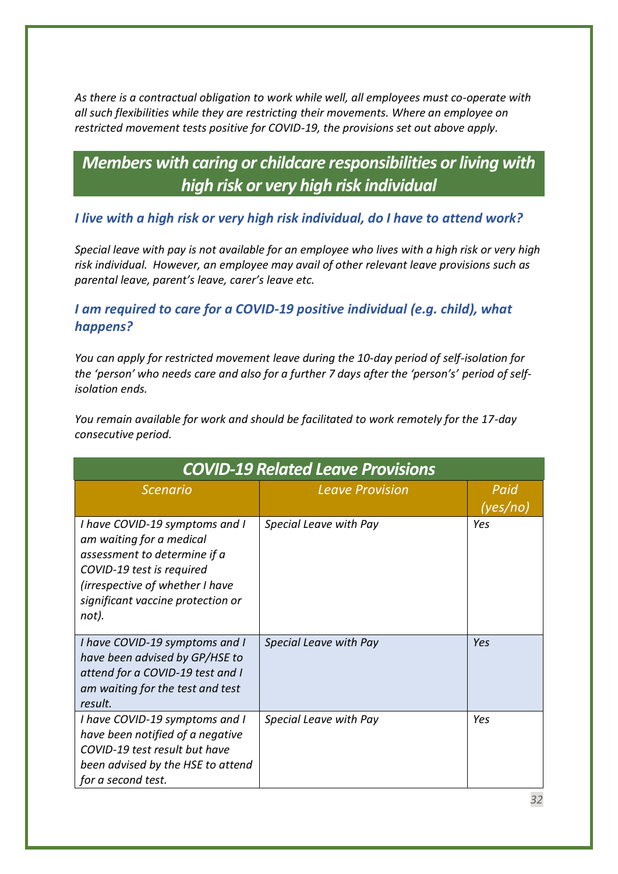*As there is a contractual obligation to work while well, all employees must co-operate with all such flexibilities while they are restricting their movements. Where an employee on restricted movement tests positive for COVID-19, the provisions set out above apply.* 

## <span id="page-31-0"></span>*Members with caring or childcare responsibilities or living with high risk or very high risk individual*

## <span id="page-31-1"></span>*I live with a high risk or very high risk individual, do I have to attend work?*

*Special leave with pay is not available for an employee who lives with a high risk or very high risk individual. However, an employee may avail of other relevant leave provisions such as parental leave, parent's leave, carer's leave etc.*

## <span id="page-31-2"></span>*I am required to care for a COVID-19 positive individual (e.g. child), what happens?*

*You can apply for restricted movement leave during the 10-day period of self-isolation for*  the 'person' who needs care and also for a further 7 days after the 'person's' period of self*isolation ends.* 

*You remain available for work and should be facilitated to work remotely for the 17-day consecutive period.*

<span id="page-31-3"></span>

| <b>COVID-19 Related Leave Provisions</b>                                                                                                                                                                 |                        |                  |  |
|----------------------------------------------------------------------------------------------------------------------------------------------------------------------------------------------------------|------------------------|------------------|--|
| <b>Scenario</b>                                                                                                                                                                                          | <b>Leave Provision</b> | Paid<br>(yes/no) |  |
| I have COVID-19 symptoms and I<br>am waiting for a medical<br>assessment to determine if a<br>COVID-19 test is required<br>(irrespective of whether I have<br>significant vaccine protection or<br>not). | Special Leave with Pay | Yes              |  |
| I have COVID-19 symptoms and I<br>have been advised by GP/HSE to<br>attend for a COVID-19 test and I<br>am waiting for the test and test<br>result.                                                      | Special Leave with Pay | Yes              |  |
| I have COVID-19 symptoms and I<br>have been notified of a negative<br>COVID-19 test result but have<br>been advised by the HSE to attend<br>for a second test.                                           | Special Leave with Pay | Yes              |  |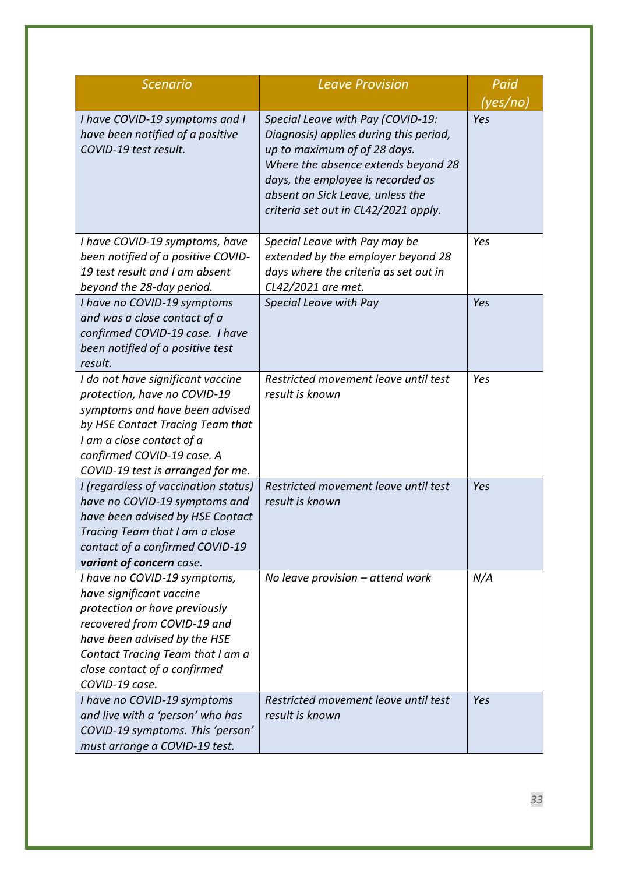| <b>Scenario</b>                                                                                                                                                                                                                                | <b>Leave Provision</b>                                                                                                                                                                                                                                              | Paid            |
|------------------------------------------------------------------------------------------------------------------------------------------------------------------------------------------------------------------------------------------------|---------------------------------------------------------------------------------------------------------------------------------------------------------------------------------------------------------------------------------------------------------------------|-----------------|
| I have COVID-19 symptoms and I<br>have been notified of a positive<br>COVID-19 test result.                                                                                                                                                    | Special Leave with Pay (COVID-19:<br>Diagnosis) applies during this period,<br>up to maximum of of 28 days.<br>Where the absence extends beyond 28<br>days, the employee is recorded as<br>absent on Sick Leave, unless the<br>criteria set out in CL42/2021 apply. | (yes/no)<br>Yes |
| I have COVID-19 symptoms, have<br>been notified of a positive COVID-<br>19 test result and I am absent<br>beyond the 28-day period.                                                                                                            | Special Leave with Pay may be<br>extended by the employer beyond 28<br>days where the criteria as set out in<br>CL42/2021 are met.                                                                                                                                  | Yes             |
| I have no COVID-19 symptoms<br>and was a close contact of a<br>confirmed COVID-19 case. I have<br>been notified of a positive test<br>result.                                                                                                  | Special Leave with Pay                                                                                                                                                                                                                                              | Yes             |
| I do not have significant vaccine<br>protection, have no COVID-19<br>symptoms and have been advised<br>by HSE Contact Tracing Team that<br>I am a close contact of a<br>confirmed COVID-19 case. A<br>COVID-19 test is arranged for me.        | Restricted movement leave until test<br>result is known                                                                                                                                                                                                             | Yes             |
| I (regardless of vaccination status)<br>have no COVID-19 symptoms and<br>have been advised by HSE Contact<br>Tracing Team that I am a close<br>contact of a confirmed COVID-19<br>variant of concern case.                                     | Restricted movement leave until test<br>result is known                                                                                                                                                                                                             | Yes             |
| I have no COVID-19 symptoms,<br>have significant vaccine<br>protection or have previously<br>recovered from COVID-19 and<br>have been advised by the HSE<br>Contact Tracing Team that I am a<br>close contact of a confirmed<br>COVID-19 case. | No leave provision - attend work                                                                                                                                                                                                                                    | N/A             |
| I have no COVID-19 symptoms<br>and live with a 'person' who has<br>COVID-19 symptoms. This 'person'<br>must arrange a COVID-19 test.                                                                                                           | Restricted movement leave until test<br>result is known                                                                                                                                                                                                             | Yes             |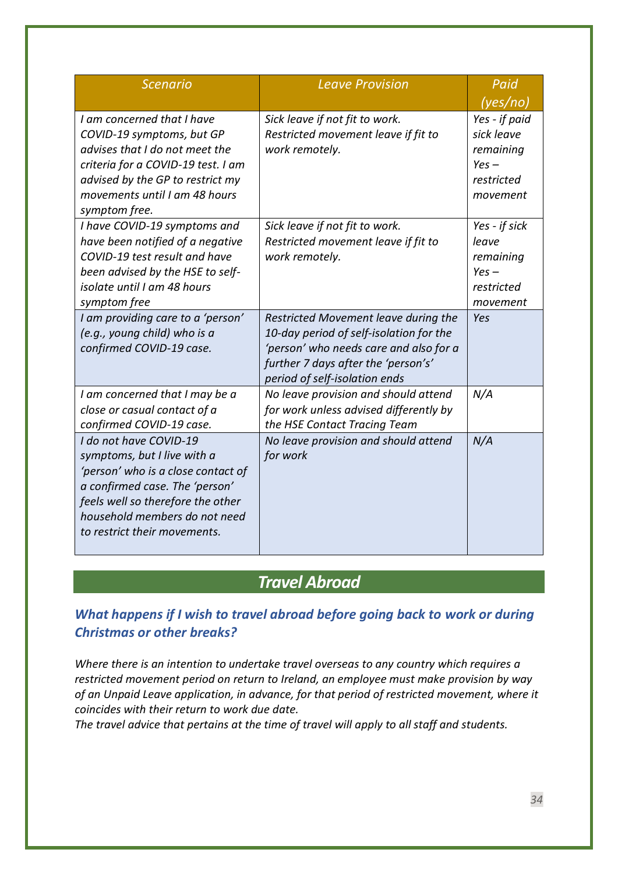| <b>Scenario</b>                                                                                                                                                                                                                     | <b>Leave Provision</b>                                                                                                                                                                            | Paid<br>(yes/no)                                                              |
|-------------------------------------------------------------------------------------------------------------------------------------------------------------------------------------------------------------------------------------|---------------------------------------------------------------------------------------------------------------------------------------------------------------------------------------------------|-------------------------------------------------------------------------------|
| I am concerned that I have<br>COVID-19 symptoms, but GP<br>advises that I do not meet the<br>criteria for a COVID-19 test. I am<br>advised by the GP to restrict my<br>movements until I am 48 hours<br>symptom free.               | Sick leave if not fit to work.<br>Restricted movement leave if fit to<br>work remotely.                                                                                                           | Yes - if paid<br>sick leave<br>remaining<br>$Yes -$<br>restricted<br>movement |
| I have COVID-19 symptoms and<br>have been notified of a negative<br>COVID-19 test result and have<br>been advised by the HSE to self-<br>isolate until I am 48 hours<br>symptom free                                                | Sick leave if not fit to work.<br>Restricted movement leave if fit to<br>work remotely.                                                                                                           | Yes - if sick<br>leave<br>remaining<br>$Yes -$<br>restricted<br>movement      |
| I am providing care to a 'person'<br>(e.g., young child) who is a<br>confirmed COVID-19 case.                                                                                                                                       | Restricted Movement leave during the<br>10-day period of self-isolation for the<br>'person' who needs care and also for a<br>further 7 days after the 'person's'<br>period of self-isolation ends | Yes                                                                           |
| I am concerned that I may be a<br>close or casual contact of a<br>confirmed COVID-19 case.                                                                                                                                          | No leave provision and should attend<br>for work unless advised differently by<br>the HSE Contact Tracing Team                                                                                    | N/A                                                                           |
| I do not have COVID-19<br>symptoms, but I live with a<br>'person' who is a close contact of<br>a confirmed case. The 'person'<br>feels well so therefore the other<br>household members do not need<br>to restrict their movements. | No leave provision and should attend<br>for work                                                                                                                                                  | N/A                                                                           |

## *Travel Abroad*

## <span id="page-33-1"></span><span id="page-33-0"></span>*What happens if I wish to travel abroad before going back to work or during Christmas or other breaks?*

*Where there is an intention to undertake travel overseas to any country which requires a restricted movement period on return to Ireland, an employee must make provision by way of an Unpaid Leave application, in advance, for that period of restricted movement, where it coincides with their return to work due date.* 

*The travel advice that pertains at the time of travel will apply to all staff and students.*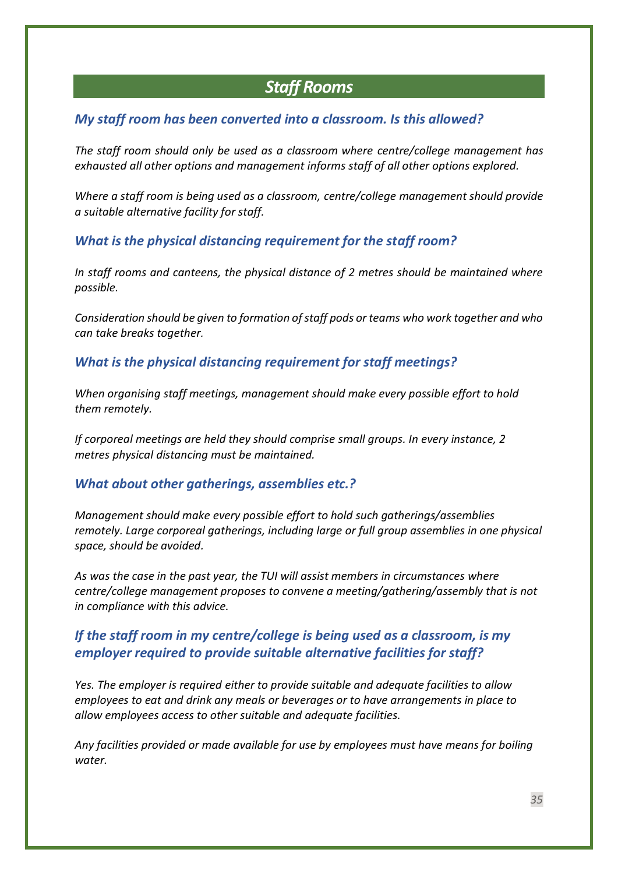## *Staff Rooms*

## <span id="page-34-1"></span><span id="page-34-0"></span>*My staff room has been converted into a classroom. Is this allowed?*

*The staff room should only be used as a classroom where centre/college management has exhausted all other options and management informs staff of all other options explored.*

*Where a staff room is being used as a classroom, centre/college management should provide a suitable alternative facility for staff.* 

## <span id="page-34-2"></span>*What is the physical distancing requirement for the staff room?*

*In staff rooms and canteens, the physical distance of 2 metres should be maintained where possible.* 

*Consideration should be given to formation of staff pods or teams who work together and who can take breaks together.* 

<span id="page-34-3"></span>*What is the physical distancing requirement for staff meetings?*

*When organising staff meetings, management should make every possible effort to hold them remotely.*

*If corporeal meetings are held they should comprise small groups. In every instance, 2 metres physical distancing must be maintained.* 

## <span id="page-34-4"></span>*What about other gatherings, assemblies etc.?*

*Management should make every possible effort to hold such gatherings/assemblies remotely. Large corporeal gatherings, including large or full group assemblies in one physical space, should be avoided.*

*As was the case in the past year, the TUI will assist members in circumstances where centre/college management proposes to convene a meeting/gathering/assembly that is not in compliance with this advice.* 

## <span id="page-34-5"></span>*If the staff room in my centre/college is being used as a classroom, is my employer required to provide suitable alternative facilities for staff?*

*Yes. The employer is required either to provide suitable and adequate facilities to allow employees to eat and drink any meals or beverages or to have arrangements in place to allow employees access to other suitable and adequate facilities.*

*Any facilities provided or made available for use by employees must have means for boiling water.*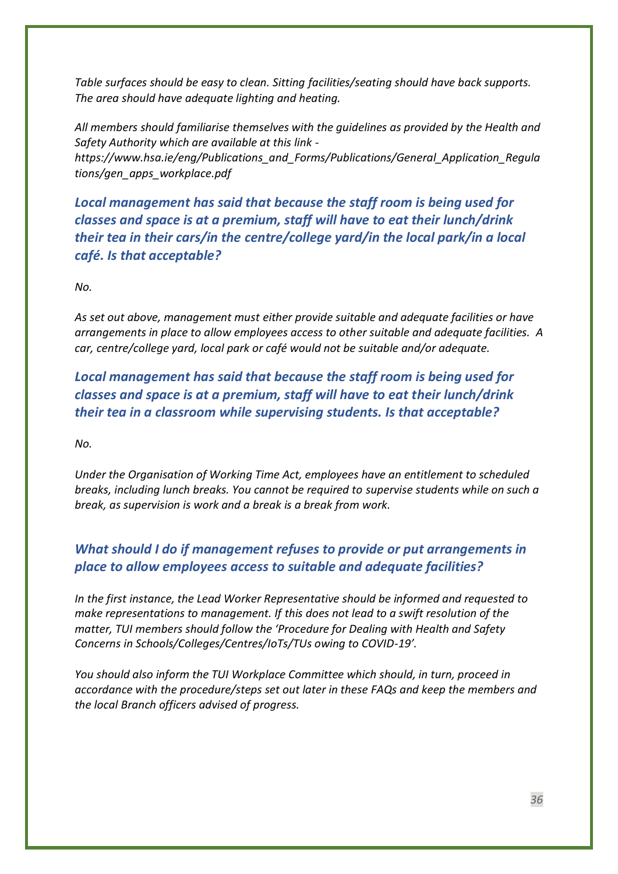*Table surfaces should be easy to clean. Sitting facilities/seating should have back supports. The area should have adequate lighting and heating.*

*All members should familiarise themselves with the guidelines as provided by the Health and Safety Authority which are available at this link [https://www.hsa.ie/eng/Publications\\_and\\_Forms/Publications/General\\_Application\\_Regula](https://www.hsa.ie/eng/Publications_and_Forms/Publications/General_Application_Regulations/gen_apps_workplace.pdf) [tions/gen\\_apps\\_workplace.pdf](https://www.hsa.ie/eng/Publications_and_Forms/Publications/General_Application_Regulations/gen_apps_workplace.pdf)*

<span id="page-35-0"></span>*Local management has said that because the staff room is being used for classes and space is at a premium, staff will have to eat their lunch/drink their tea in their cars/in the centre/college yard/in the local park/in a local café. Is that acceptable?*

*No.* 

*As set out above, management must either provide suitable and adequate facilities or have arrangements in place to allow employees access to other suitable and adequate facilities. A car, centre/college yard, local park or café would not be suitable and/or adequate.*

<span id="page-35-1"></span>*Local management has said that because the staff room is being used for classes and space is at a premium, staff will have to eat their lunch/drink their tea in a classroom while supervising students. Is that acceptable?*

*No.* 

*Under the Organisation of Working Time Act, employees have an entitlement to scheduled breaks, including lunch breaks. You cannot be required to supervise students while on such a break, as supervision is work and a break is a break from work.*

## <span id="page-35-2"></span>*What should I do if management refuses to provide or put arrangements in place to allow employees access to suitable and adequate facilities?*

*In the first instance, the Lead Worker Representative should be informed and requested to make representations to management. If this does not lead to a swift resolution of the matter, TUI members should follow the 'Procedure for Dealing with Health and Safety Concerns in Schools/Colleges/Centres/IoTs/TUs owing to COVID-19'.*

*You should also inform the TUI Workplace Committee which should, in turn, proceed in accordance with the procedure/steps set out later in these FAQs and keep the members and the local Branch officers advised of progress.*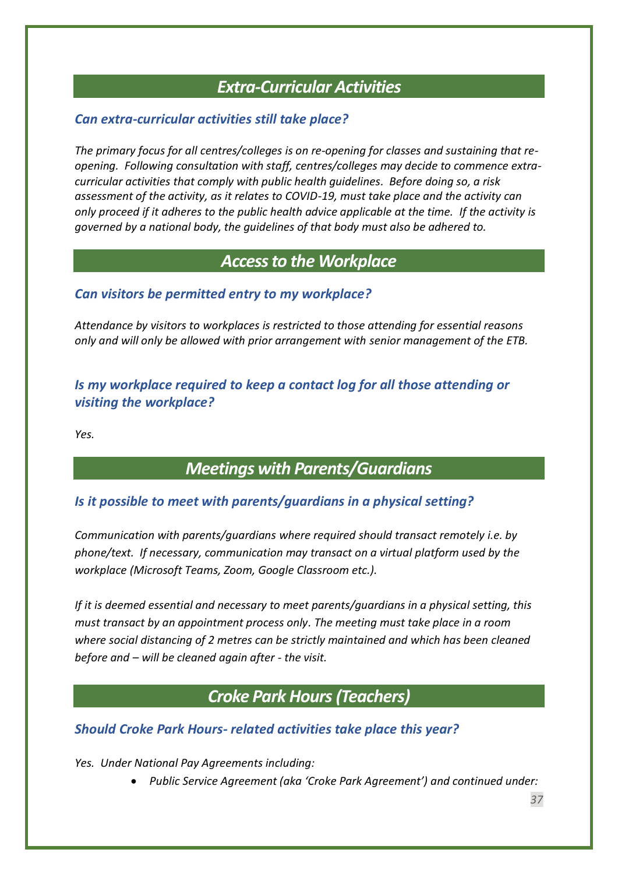## *Extra-Curricular Activities*

## <span id="page-36-1"></span><span id="page-36-0"></span>*Can extra-curricular activities still take place?*

*The primary focus for all centres/colleges is on re-opening for classes and sustaining that reopening. Following consultation with staff, centres/colleges may decide to commence extracurricular activities that comply with public health guidelines. Before doing so, a risk assessment of the activity, as it relates to COVID-19, must take place and the activity can only proceed if it adheres to the public health advice applicable at the time. If the activity is governed by a national body, the guidelines of that body must also be adhered to.*

## *Access to the Workplace*

## <span id="page-36-3"></span><span id="page-36-2"></span>*Can visitors be permitted entry to my workplace?*

*Attendance by visitors to workplaces is restricted to those attending for essential reasons only and will only be allowed with prior arrangement with senior management of the ETB.*

## <span id="page-36-4"></span>*Is my workplace required to keep a contact log for all those attending or visiting the workplace?*

<span id="page-36-5"></span>*Yes.* 

## *Meetings with Parents/Guardians*

## <span id="page-36-6"></span>*Is it possible to meet with parents/guardians in a physical setting?*

*Communication with parents/guardians where required should transact remotely i.e. by phone/text. If necessary, communication may transact on a virtual platform used by the workplace (Microsoft Teams, Zoom, Google Classroom etc.).* 

*If it is deemed essential and necessary to meet parents/guardians in a physical setting, this must transact by an appointment process only. The meeting must take place in a room where social distancing of 2 metres can be strictly maintained and which has been cleaned before and – will be cleaned again after - the visit.*

## *Croke Park Hours(Teachers)*

## <span id="page-36-8"></span><span id="page-36-7"></span>*Should Croke Park Hours- related activities take place this year?*

*Yes. Under National Pay Agreements including:*

• *Public Service Agreement (aka 'Croke Park Agreement') and continued under:* 

*37*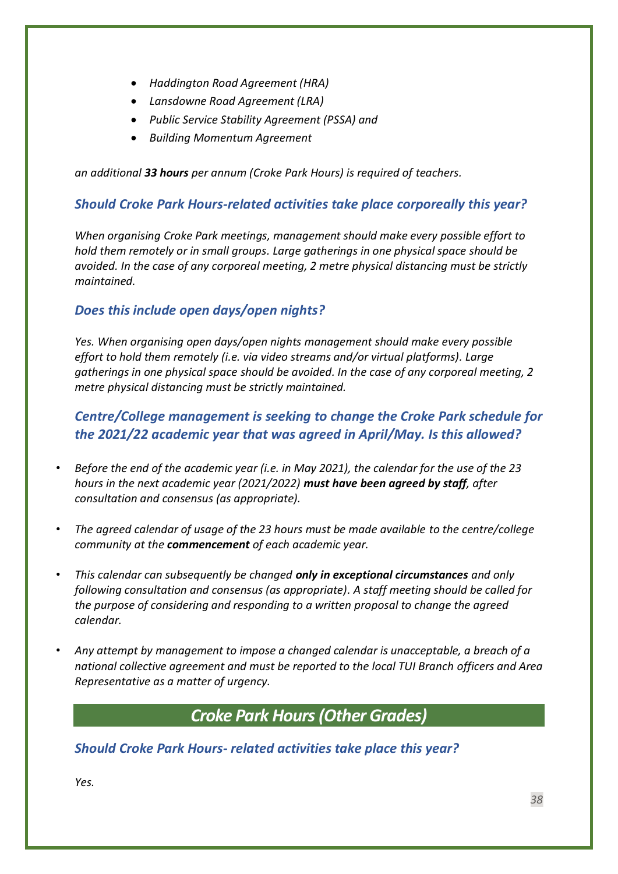- *Haddington Road Agreement (HRA)*
- *Lansdowne Road Agreement (LRA)*
- *Public Service Stability Agreement (PSSA) and*
- *Building Momentum Agreement*

*an additional 33 hours per annum (Croke Park Hours) is required of teachers.*

## <span id="page-37-0"></span>*Should Croke Park Hours-related activities take place corporeally this year?*

*When organising Croke Park meetings, management should make every possible effort to hold them remotely or in small groups. Large gatherings in one physical space should be avoided. In the case of any corporeal meeting, 2 metre physical distancing must be strictly maintained.*

## <span id="page-37-1"></span>*Does this include open days/open nights?*

*Yes. When organising open days/open nights management should make every possible effort to hold them remotely (i.e. via video streams and/or virtual platforms). Large gatherings in one physical space should be avoided. In the case of any corporeal meeting, 2 metre physical distancing must be strictly maintained.*

## <span id="page-37-2"></span>*Centre/College management is seeking to change the Croke Park schedule for the 2021/22 academic year that was agreed in April/May. Is this allowed?*

- *Before the end of the academic year (i.e. in May 2021), the calendar for the use of the 23 hours in the next academic year (2021/2022) must have been agreed by staff, after consultation and consensus (as appropriate).*
- *The agreed calendar of usage of the 23 hours must be made available to the centre/college community at the commencement of each academic year.*
- *This calendar can subsequently be changed only in exceptional circumstances and only following consultation and consensus (as appropriate). A staff meeting should be called for the purpose of considering and responding to a written proposal to change the agreed calendar.*
- *Any attempt by management to impose a changed calendar is unacceptable, a breach of a national collective agreement and must be reported to the local TUI Branch officers and Area Representative as a matter of urgency.*

## *Croke Park Hours(Other Grades)*

## <span id="page-37-4"></span><span id="page-37-3"></span>*Should Croke Park Hours- related activities take place this year?*

*Yes.*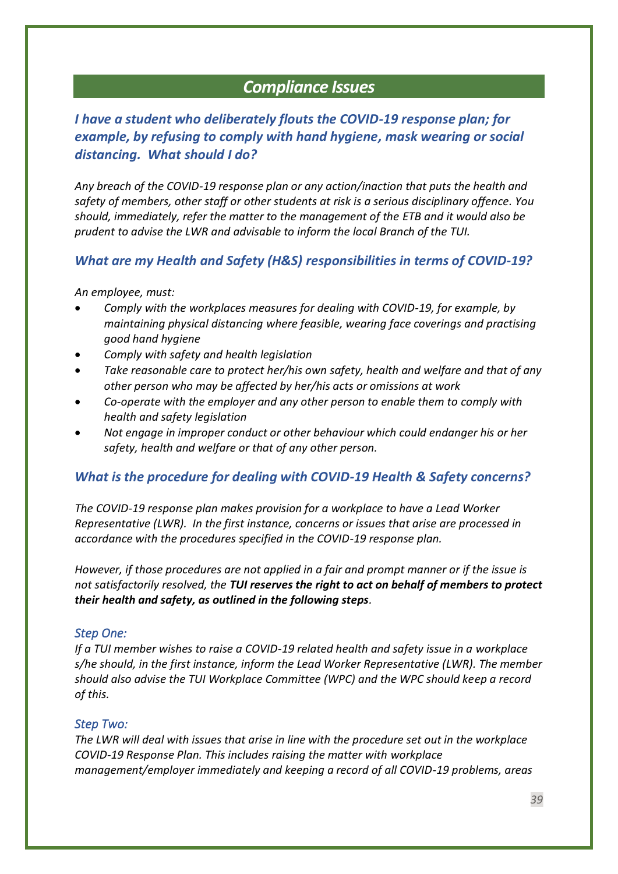## *Compliance Issues*

## <span id="page-38-1"></span><span id="page-38-0"></span>*I have a student who deliberately flouts the COVID-19 response plan; for example, by refusing to comply with hand hygiene, mask wearing or social distancing. What should I do?*

*Any breach of the COVID-19 response plan or any action/inaction that puts the health and safety of members, other staff or other students at risk is a serious disciplinary offence. You should, immediately, refer the matter to the management of the ETB and it would also be prudent to advise the LWR and advisable to inform the local Branch of the TUI.*

## <span id="page-38-2"></span>*What are my Health and Safety (H&S) responsibilities in terms of COVID-19?*

*An employee, must:* 

- *Comply with the workplaces measures for dealing with COVID-19, for example, by maintaining physical distancing where feasible, wearing face coverings and practising good hand hygiene*
- *Comply with safety and health legislation*
- *Take reasonable care to protect her/his own safety, health and welfare and that of any other person who may be affected by her/his acts or omissions at work*
- *Co-operate with the employer and any other person to enable them to comply with health and safety legislation*
- *Not engage in improper conduct or other behaviour which could endanger his or her safety, health and welfare or that of any other person.*

## <span id="page-38-3"></span>*What is the procedure for dealing with COVID-19 Health & Safety concerns?*

*The COVID-19 response plan makes provision for a workplace to have a Lead Worker Representative (LWR). In the first instance, concerns or issues that arise are processed in accordance with the procedures specified in the COVID-19 response plan.* 

*However, if those procedures are not applied in a fair and prompt manner or if the issue is not satisfactorily resolved, the TUI reserves the right to act on behalf of members to protect their health and safety, as outlined in the following steps.*

#### <span id="page-38-4"></span>*Step One:*

*If a TUI member wishes to raise a COVID-19 related health and safety issue in a workplace s/he should, in the first instance, inform the Lead Worker Representative (LWR). The member should also advise the TUI Workplace Committee (WPC) and the WPC should keep a record of this.* 

#### <span id="page-38-5"></span>*Step Two:*

*The LWR will deal with issues that arise in line with the procedure set out in the workplace COVID-19 Response Plan. This includes raising the matter with workplace management/employer immediately and keeping a record of all COVID-19 problems, areas*